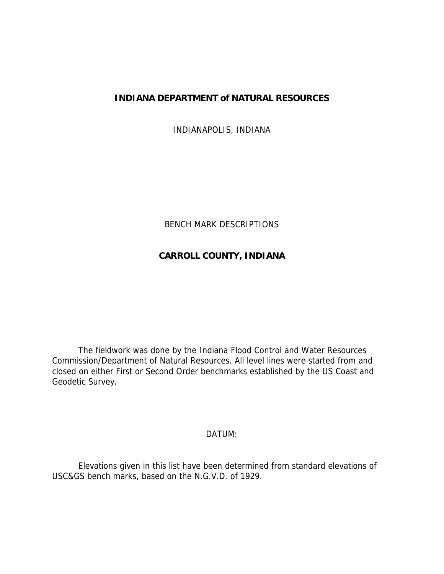# **INDIANA DEPARTMENT of NATURAL RESOURCES**

INDIANAPOLIS, INDIANA

# BENCH MARK DESCRIPTIONS

# **CARROLL COUNTY, INDIANA**

 The fieldwork was done by the Indiana Flood Control and Water Resources Commission/Department of Natural Resources. All level lines were started from and closed on either First or Second Order benchmarks established by the US Coast and Geodetic Survey.

## DATUM:

 Elevations given in this list have been determined from standard elevations of USC&GS bench marks, based on the N.G.V.D. of 1929.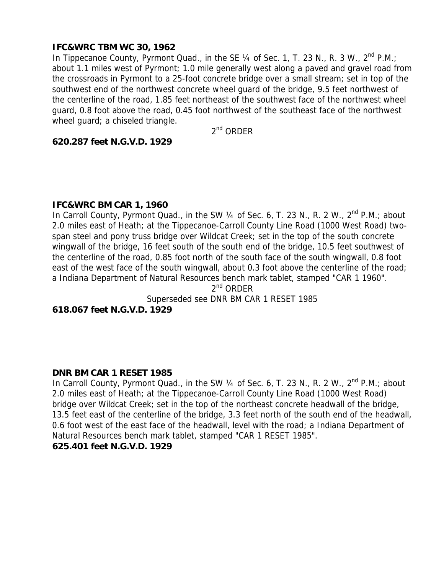## **IFC&WRC TBM WC 30, 1962**

In Tippecanoe County, Pyrmont Quad., in the SE  $\frac{1}{4}$  of Sec. 1, T. 23 N., R. 3 W.,  $2^{nd}$  P.M.; about 1.1 miles west of Pyrmont; 1.0 mile generally west along a paved and gravel road from the crossroads in Pyrmont to a 25-foot concrete bridge over a small stream; set in top of the southwest end of the northwest concrete wheel guard of the bridge, 9.5 feet northwest of the centerline of the road, 1.85 feet northeast of the southwest face of the northwest wheel guard, 0.8 foot above the road, 0.45 foot northwest of the southeast face of the northwest wheel guard; a chiseled triangle.

 $2<sup>nd</sup>$  ORDER

#### **620.287 feet N.G.V.D. 1929**

#### **IFC&WRC BM CAR 1, 1960**

In Carroll County, Pyrmont Quad., in the SW  $\frac{1}{4}$  of Sec. 6, T. 23 N., R. 2 W.,  $2^{nd}$  P.M.; about 2.0 miles east of Heath; at the Tippecanoe-Carroll County Line Road (1000 West Road) twospan steel and pony truss bridge over Wildcat Creek; set in the top of the south concrete wingwall of the bridge, 16 feet south of the south end of the bridge, 10.5 feet southwest of the centerline of the road, 0.85 foot north of the south face of the south wingwall, 0.8 foot east of the west face of the south wingwall, about 0.3 foot above the centerline of the road; a Indiana Department of Natural Resources bench mark tablet, stamped "CAR 1 1960".

 $2^{nd}$  ORDER

Superseded see DNR BM CAR 1 RESET 1985

**618.067 feet N.G.V.D. 1929** 

#### **DNR BM CAR 1 RESET 1985**

In Carroll County, Pyrmont Quad., in the SW 1/4 of Sec. 6, T. 23 N., R. 2 W., 2<sup>nd</sup> P.M.; about 2.0 miles east of Heath; at the Tippecanoe-Carroll County Line Road (1000 West Road) bridge over Wildcat Creek; set in the top of the northeast concrete headwall of the bridge, 13.5 feet east of the centerline of the bridge, 3.3 feet north of the south end of the headwall, 0.6 foot west of the east face of the headwall, level with the road; a Indiana Department of Natural Resources bench mark tablet, stamped "CAR 1 RESET 1985".

#### **625.401 feet N.G.V.D. 1929**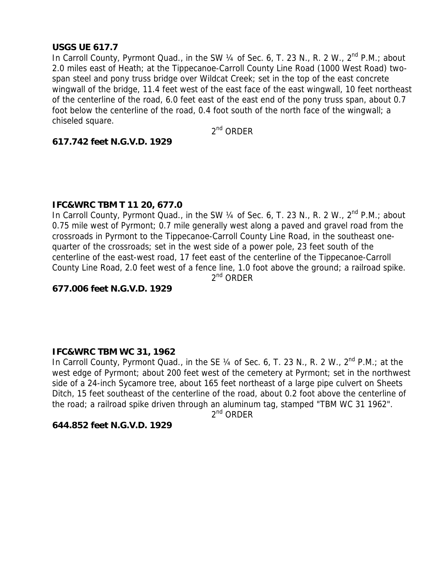## **USGS UE 617.7**

In Carroll County, Pyrmont Quad., in the SW 1/4 of Sec. 6, T. 23 N., R. 2 W., 2<sup>nd</sup> P.M.; about 2.0 miles east of Heath; at the Tippecanoe-Carroll County Line Road (1000 West Road) twospan steel and pony truss bridge over Wildcat Creek; set in the top of the east concrete wingwall of the bridge, 11.4 feet west of the east face of the east wingwall, 10 feet northeast of the centerline of the road, 6.0 feet east of the east end of the pony truss span, about 0.7 foot below the centerline of the road, 0.4 foot south of the north face of the wingwall; a chiseled square.

 $2<sup>nd</sup>$  ORDER

## **617.742 feet N.G.V.D. 1929**

#### **IFC&WRC TBM T 11 20, 677.0**

In Carroll County, Pyrmont Quad., in the SW  $\frac{1}{4}$  of Sec. 6, T. 23 N., R. 2 W.,  $2^{nd}$  P.M.; about 0.75 mile west of Pyrmont; 0.7 mile generally west along a paved and gravel road from the crossroads in Pyrmont to the Tippecanoe-Carroll County Line Road, in the southeast onequarter of the crossroads; set in the west side of a power pole, 23 feet south of the centerline of the east-west road, 17 feet east of the centerline of the Tippecanoe-Carroll County Line Road, 2.0 feet west of a fence line, 1.0 foot above the ground; a railroad spike.  $2^{nd}$  ORDER

## **677.006 feet N.G.V.D. 1929**

#### **IFC&WRC TBM WC 31, 1962**

In Carroll County, Pyrmont Quad., in the SE 1/4 of Sec. 6, T. 23 N., R. 2 W., 2<sup>nd</sup> P.M.; at the west edge of Pyrmont; about 200 feet west of the cemetery at Pyrmont; set in the northwest side of a 24-inch Sycamore tree, about 165 feet northeast of a large pipe culvert on Sheets Ditch, 15 feet southeast of the centerline of the road, about 0.2 foot above the centerline of the road; a railroad spike driven through an aluminum tag, stamped "TBM WC 31 1962".

2<sup>nd</sup> ORDER

#### **644.852 feet N.G.V.D. 1929**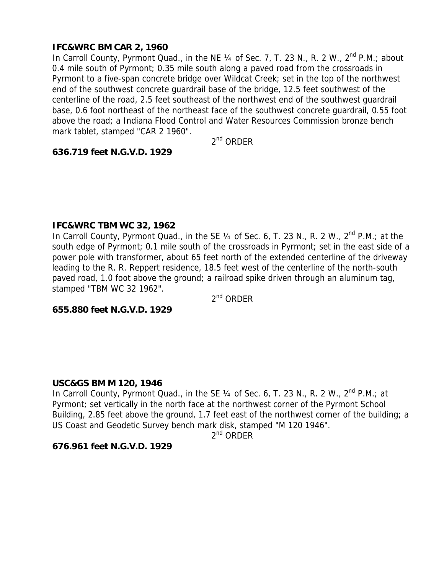# **IFC&WRC BM CAR 2, 1960**

In Carroll County, Pyrmont Quad., in the NE 1/4 of Sec. 7, T. 23 N., R. 2 W., 2<sup>nd</sup> P.M.; about 0.4 mile south of Pyrmont; 0.35 mile south along a paved road from the crossroads in Pyrmont to a five-span concrete bridge over Wildcat Creek; set in the top of the northwest end of the southwest concrete guardrail base of the bridge, 12.5 feet southwest of the centerline of the road, 2.5 feet southeast of the northwest end of the southwest guardrail base, 0.6 foot northeast of the northeast face of the southwest concrete guardrail, 0.55 foot above the road; a Indiana Flood Control and Water Resources Commission bronze bench mark tablet, stamped "CAR 2 1960".

 $2<sup>nd</sup>$  ORDER

## **636.719 feet N.G.V.D. 1929**

#### **IFC&WRC TBM WC 32, 1962**

In Carroll County, Pyrmont Quad., in the SE 1/4 of Sec. 6, T. 23 N., R. 2 W., 2<sup>nd</sup> P.M.; at the south edge of Pyrmont; 0.1 mile south of the crossroads in Pyrmont; set in the east side of a power pole with transformer, about 65 feet north of the extended centerline of the driveway leading to the R. R. Reppert residence, 18.5 feet west of the centerline of the north-south paved road, 1.0 foot above the ground; a railroad spike driven through an aluminum tag, stamped "TBM WC 32 1962".

 $2^{nd}$  ORDER

#### **655.880 feet N.G.V.D. 1929**

## **USC&GS BM M 120, 1946**

In Carroll County, Pyrmont Quad., in the SE 1/4 of Sec. 6, T. 23 N., R. 2 W., 2<sup>nd</sup> P.M.; at Pyrmont; set vertically in the north face at the northwest corner of the Pyrmont School Building, 2.85 feet above the ground, 1.7 feet east of the northwest corner of the building; a US Coast and Geodetic Survey bench mark disk, stamped "M 120 1946".

 $2^{nd}$  ORDER

## **676.961 feet N.G.V.D. 1929**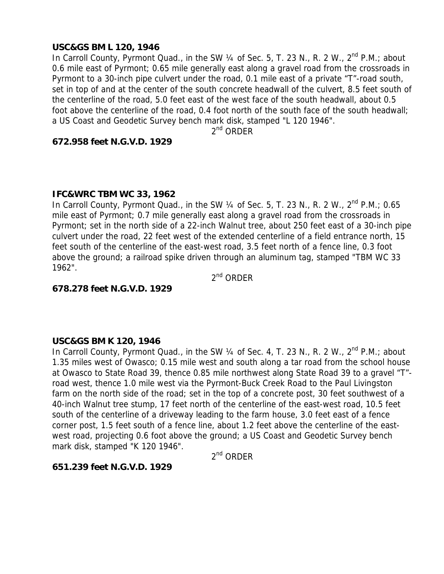## **USC&GS BM L 120, 1946**

In Carroll County, Pyrmont Quad., in the SW 1/4 of Sec. 5, T. 23 N., R. 2 W., 2<sup>nd</sup> P.M.; about 0.6 mile east of Pyrmont; 0.65 mile generally east along a gravel road from the crossroads in Pyrmont to a 30-inch pipe culvert under the road, 0.1 mile east of a private "T"-road south, set in top of and at the center of the south concrete headwall of the culvert, 8.5 feet south of the centerline of the road, 5.0 feet east of the west face of the south headwall, about 0.5 foot above the centerline of the road, 0.4 foot north of the south face of the south headwall; a US Coast and Geodetic Survey bench mark disk, stamped "L 120 1946".

2<sup>nd</sup> ORDER

#### **672.958 feet N.G.V.D. 1929**

#### **IFC&WRC TBM WC 33, 1962**

In Carroll County, Pyrmont Quad., in the SW  $\frac{1}{4}$  of Sec. 5, T. 23 N., R. 2 W.,  $2^{nd}$  P.M.; 0.65 mile east of Pyrmont; 0.7 mile generally east along a gravel road from the crossroads in Pyrmont; set in the north side of a 22-inch Walnut tree, about 250 feet east of a 30-inch pipe culvert under the road, 22 feet west of the extended centerline of a field entrance north, 15 feet south of the centerline of the east-west road, 3.5 feet north of a fence line, 0.3 foot above the ground; a railroad spike driven through an aluminum tag, stamped "TBM WC 33 1962".

2nd ORDER

#### **678.278 feet N.G.V.D. 1929**

#### **USC&GS BM K 120, 1946**

In Carroll County, Pyrmont Quad., in the SW 1/4 of Sec. 4, T. 23 N., R. 2 W., 2<sup>nd</sup> P.M.; about 1.35 miles west of Owasco; 0.15 mile west and south along a tar road from the school house at Owasco to State Road 39, thence 0.85 mile northwest along State Road 39 to a gravel "T" road west, thence 1.0 mile west via the Pyrmont-Buck Creek Road to the Paul Livingston farm on the north side of the road; set in the top of a concrete post, 30 feet southwest of a 40-inch Walnut tree stump, 17 feet north of the centerline of the east-west road, 10.5 feet south of the centerline of a driveway leading to the farm house, 3.0 feet east of a fence corner post, 1.5 feet south of a fence line, about 1.2 feet above the centerline of the eastwest road, projecting 0.6 foot above the ground; a US Coast and Geodetic Survey bench mark disk, stamped "K 120 1946".

2nd ORDER

#### **651.239 feet N.G.V.D. 1929**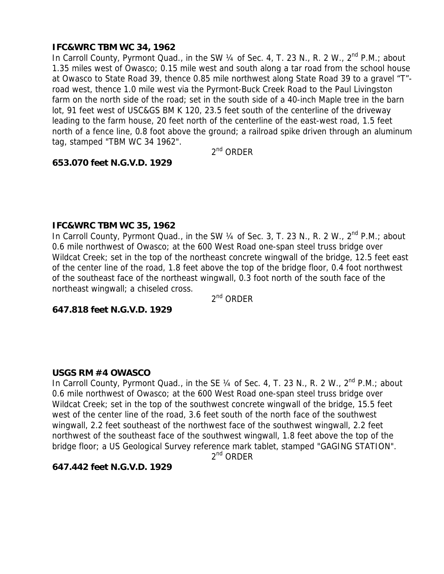# **IFC&WRC TBM WC 34, 1962**

In Carroll County, Pyrmont Quad., in the SW 1/4 of Sec. 4, T. 23 N., R. 2 W., 2<sup>nd</sup> P.M.; about 1.35 miles west of Owasco; 0.15 mile west and south along a tar road from the school house at Owasco to State Road 39, thence 0.85 mile northwest along State Road 39 to a gravel "T" road west, thence 1.0 mile west via the Pyrmont-Buck Creek Road to the Paul Livingston farm on the north side of the road; set in the south side of a 40-inch Maple tree in the barn lot, 91 feet west of USC&GS BM K 120, 23.5 feet south of the centerline of the driveway leading to the farm house, 20 feet north of the centerline of the east-west road, 1.5 feet north of a fence line, 0.8 foot above the ground; a railroad spike driven through an aluminum tag, stamped "TBM WC 34 1962".

2<sup>nd</sup> ORDER

# **653.070 feet N.G.V.D. 1929**

#### **IFC&WRC TBM WC 35, 1962**

In Carroll County, Pyrmont Quad., in the SW 1/4 of Sec. 3, T. 23 N., R. 2 W., 2<sup>nd</sup> P.M.; about 0.6 mile northwest of Owasco; at the 600 West Road one-span steel truss bridge over Wildcat Creek; set in the top of the northeast concrete wingwall of the bridge, 12.5 feet east of the center line of the road, 1.8 feet above the top of the bridge floor, 0.4 foot northwest of the southeast face of the northeast wingwall, 0.3 foot north of the south face of the northeast wingwall; a chiseled cross.

 $2^{nd}$  ORDER

# **647.818 feet N.G.V.D. 1929**

## **USGS RM #4 OWASCO**

In Carroll County, Pyrmont Quad., in the SE 1/4 of Sec. 4, T. 23 N., R. 2 W., 2<sup>nd</sup> P.M.; about 0.6 mile northwest of Owasco; at the 600 West Road one-span steel truss bridge over Wildcat Creek; set in the top of the southwest concrete wingwall of the bridge, 15.5 feet west of the center line of the road, 3.6 feet south of the north face of the southwest wingwall, 2.2 feet southeast of the northwest face of the southwest wingwall, 2.2 feet northwest of the southeast face of the southwest wingwall, 1.8 feet above the top of the bridge floor; a US Geological Survey reference mark tablet, stamped "GAGING STATION".

 $2^{nd}$  ORDER

## **647.442 feet N.G.V.D. 1929**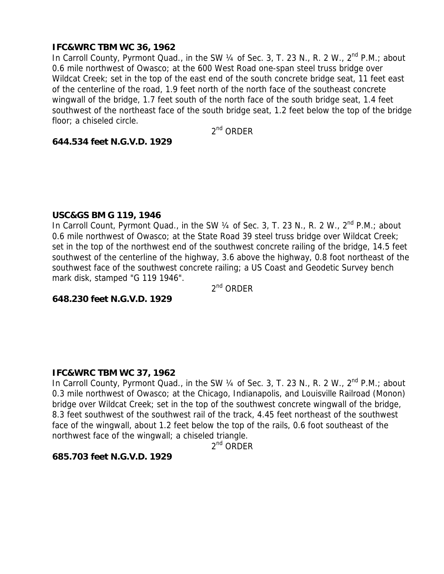## **IFC&WRC TBM WC 36, 1962**

In Carroll County, Pyrmont Quad., in the SW  $\frac{1}{4}$  of Sec. 3, T. 23 N., R. 2 W., 2<sup>nd</sup> P.M.; about 0.6 mile northwest of Owasco; at the 600 West Road one-span steel truss bridge over Wildcat Creek; set in the top of the east end of the south concrete bridge seat, 11 feet east of the centerline of the road, 1.9 feet north of the north face of the southeast concrete wingwall of the bridge, 1.7 feet south of the north face of the south bridge seat, 1.4 feet southwest of the northeast face of the south bridge seat, 1.2 feet below the top of the bridge floor; a chiseled circle.

 $2<sup>nd</sup>$  ORDER

#### **644.534 feet N.G.V.D. 1929**

#### **USC&GS BM G 119, 1946**

In Carroll Count, Pyrmont Quad., in the SW 1/4 of Sec. 3, T. 23 N., R. 2 W., 2<sup>nd</sup> P.M.; about 0.6 mile northwest of Owasco; at the State Road 39 steel truss bridge over Wildcat Creek; set in the top of the northwest end of the southwest concrete railing of the bridge, 14.5 feet southwest of the centerline of the highway, 3.6 above the highway, 0.8 foot northeast of the southwest face of the southwest concrete railing; a US Coast and Geodetic Survey bench mark disk, stamped "G 119 1946".

2<sup>nd</sup> ORDER

**648.230 feet N.G.V.D. 1929** 

#### **IFC&WRC TBM WC 37, 1962**

In Carroll County, Pyrmont Quad., in the SW 1/4 of Sec. 3, T. 23 N., R. 2 W., 2<sup>nd</sup> P.M.; about 0.3 mile northwest of Owasco; at the Chicago, Indianapolis, and Louisville Railroad (Monon) bridge over Wildcat Creek; set in the top of the southwest concrete wingwall of the bridge, 8.3 feet southwest of the southwest rail of the track, 4.45 feet northeast of the southwest face of the wingwall, about 1.2 feet below the top of the rails, 0.6 foot southeast of the northwest face of the wingwall; a chiseled triangle.

2<sup>nd</sup> ORDER

#### **685.703 feet N.G.V.D. 1929**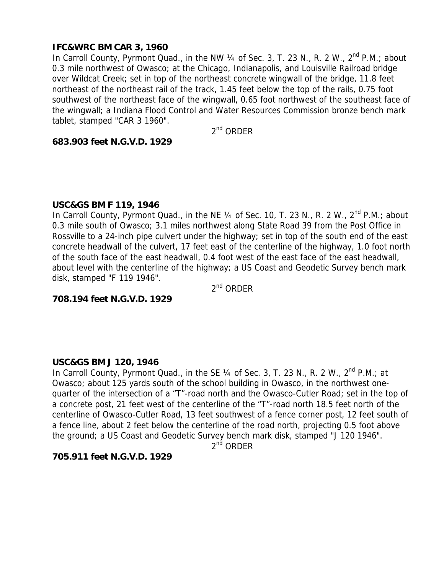## **IFC&WRC BM CAR 3, 1960**

In Carroll County, Pyrmont Quad., in the NW  $\frac{1}{4}$  of Sec. 3, T. 23 N., R. 2 W.,  $2^{nd}$  P.M.; about 0.3 mile northwest of Owasco; at the Chicago, Indianapolis, and Louisville Railroad bridge over Wildcat Creek; set in top of the northeast concrete wingwall of the bridge, 11.8 feet northeast of the northeast rail of the track, 1.45 feet below the top of the rails, 0.75 foot southwest of the northeast face of the wingwall, 0.65 foot northwest of the southeast face of the wingwall; a Indiana Flood Control and Water Resources Commission bronze bench mark tablet, stamped "CAR 3 1960".

 $2<sup>nd</sup>$  ORDER

#### **683.903 feet N.G.V.D. 1929**

#### **USC&GS BM F 119, 1946**

In Carroll County, Pyrmont Quad., in the NE 1/4 of Sec. 10, T. 23 N., R. 2 W., 2<sup>nd</sup> P.M.; about 0.3 mile south of Owasco; 3.1 miles northwest along State Road 39 from the Post Office in Rossville to a 24-inch pipe culvert under the highway; set in top of the south end of the east concrete headwall of the culvert, 17 feet east of the centerline of the highway, 1.0 foot north of the south face of the east headwall, 0.4 foot west of the east face of the east headwall, about level with the centerline of the highway; a US Coast and Geodetic Survey bench mark disk, stamped "F 119 1946".

2<sup>nd</sup> ORDER

**708.194 feet N.G.V.D. 1929** 

#### **USC&GS BM J 120, 1946**

In Carroll County, Pyrmont Quad., in the SE  $\frac{1}{4}$  of Sec. 3, T. 23 N., R. 2 W.,  $2^{nd}$  P.M.; at Owasco; about 125 yards south of the school building in Owasco, in the northwest onequarter of the intersection of a "T"-road north and the Owasco-Cutler Road; set in the top of a concrete post, 21 feet west of the centerline of the "T"-road north 18.5 feet north of the centerline of Owasco-Cutler Road, 13 feet southwest of a fence corner post, 12 feet south of a fence line, about 2 feet below the centerline of the road north, projecting 0.5 foot above the ground; a US Coast and Geodetic Survey bench mark disk, stamped "J 120 1946".

 $2<sup>n\text{d}</sup>$  ORDER

#### **705.911 feet N.G.V.D. 1929**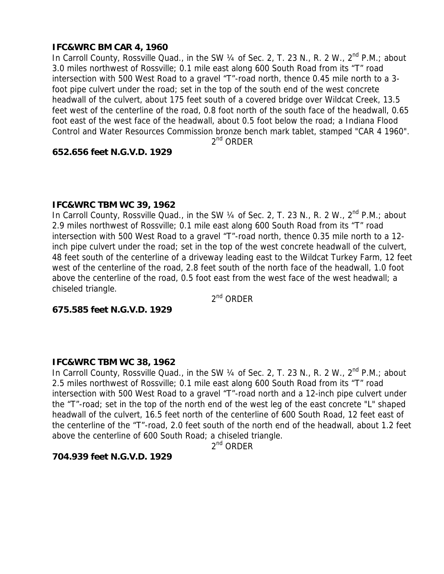# **IFC&WRC BM CAR 4, 1960**

In Carroll County, Rossville Quad., in the SW 1/4 of Sec. 2, T. 23 N., R. 2 W., 2<sup>nd</sup> P.M.; about 3.0 miles northwest of Rossville; 0.1 mile east along 600 South Road from its "T" road intersection with 500 West Road to a gravel "T"-road north, thence 0.45 mile north to a 3 foot pipe culvert under the road; set in the top of the south end of the west concrete headwall of the culvert, about 175 feet south of a covered bridge over Wildcat Creek, 13.5 feet west of the centerline of the road, 0.8 foot north of the south face of the headwall, 0.65 foot east of the west face of the headwall, about 0.5 foot below the road; a Indiana Flood Control and Water Resources Commission bronze bench mark tablet, stamped "CAR 4 1960".

 $2^{nd}$  ORDER

#### **652.656 feet N.G.V.D. 1929**

#### **IFC&WRC TBM WC 39, 1962**

In Carroll County, Rossville Quad., in the SW  $\frac{1}{4}$  of Sec. 2, T. 23 N., R. 2 W.,  $2^{nd}$  P.M.; about 2.9 miles northwest of Rossville; 0.1 mile east along 600 South Road from its "T" road intersection with 500 West Road to a gravel "T"-road north, thence 0.35 mile north to a 12 inch pipe culvert under the road; set in the top of the west concrete headwall of the culvert, 48 feet south of the centerline of a driveway leading east to the Wildcat Turkey Farm, 12 feet west of the centerline of the road, 2.8 feet south of the north face of the headwall, 1.0 foot above the centerline of the road, 0.5 foot east from the west face of the west headwall; a chiseled triangle.

2nd ORDER

## **675.585 feet N.G.V.D. 1929**

## **IFC&WRC TBM WC 38, 1962**

In Carroll County, Rossville Quad., in the SW  $\frac{1}{4}$  of Sec. 2, T. 23 N., R. 2 W.,  $2^{nd}$  P.M.; about 2.5 miles northwest of Rossville; 0.1 mile east along 600 South Road from its "T" road intersection with 500 West Road to a gravel "T"-road north and a 12-inch pipe culvert under the "T"-road; set in the top of the north end of the west leg of the east concrete "L" shaped headwall of the culvert, 16.5 feet north of the centerline of 600 South Road, 12 feet east of the centerline of the "T"-road, 2.0 feet south of the north end of the headwall, about 1.2 feet above the centerline of 600 South Road; a chiseled triangle.

 $2^{nd}$  ORDER

## **704.939 feet N.G.V.D. 1929**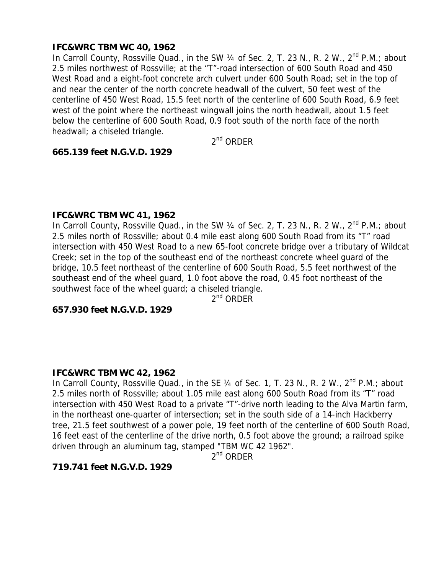## **IFC&WRC TBM WC 40, 1962**

In Carroll County, Rossville Quad., in the SW 1/4 of Sec. 2, T. 23 N., R. 2 W., 2<sup>nd</sup> P.M.; about 2.5 miles northwest of Rossville; at the "T"-road intersection of 600 South Road and 450 West Road and a eight-foot concrete arch culvert under 600 South Road; set in the top of and near the center of the north concrete headwall of the culvert, 50 feet west of the centerline of 450 West Road, 15.5 feet north of the centerline of 600 South Road, 6.9 feet west of the point where the northeast wingwall joins the north headwall, about 1.5 feet below the centerline of 600 South Road, 0.9 foot south of the north face of the north headwall; a chiseled triangle.

2nd ORDER

#### **665.139 feet N.G.V.D. 1929**

#### **IFC&WRC TBM WC 41, 1962**

In Carroll County, Rossville Quad., in the SW 1/4 of Sec. 2, T. 23 N., R. 2 W., 2<sup>nd</sup> P.M.; about 2.5 miles north of Rossville; about 0.4 mile east along 600 South Road from its "T" road intersection with 450 West Road to a new 65-foot concrete bridge over a tributary of Wildcat Creek; set in the top of the southeast end of the northeast concrete wheel guard of the bridge, 10.5 feet northeast of the centerline of 600 South Road, 5.5 feet northwest of the southeast end of the wheel guard, 1.0 foot above the road, 0.45 foot northeast of the southwest face of the wheel guard; a chiseled triangle.

2<sup>nd</sup> ORDER

# **657.930 feet N.G.V.D. 1929**

#### **IFC&WRC TBM WC 42, 1962**

In Carroll County, Rossville Quad., in the SE 1/4 of Sec. 1, T. 23 N., R. 2 W., 2<sup>nd</sup> P.M.; about 2.5 miles north of Rossville; about 1.05 mile east along 600 South Road from its "T" road intersection with 450 West Road to a private "T"-drive north leading to the Alva Martin farm, in the northeast one-quarter of intersection; set in the south side of a 14-inch Hackberry tree, 21.5 feet southwest of a power pole, 19 feet north of the centerline of 600 South Road, 16 feet east of the centerline of the drive north, 0.5 foot above the ground; a railroad spike driven through an aluminum tag, stamped "TBM WC 42 1962".

 $2^{nd}$  ORDER

# **719.741 feet N.G.V.D. 1929**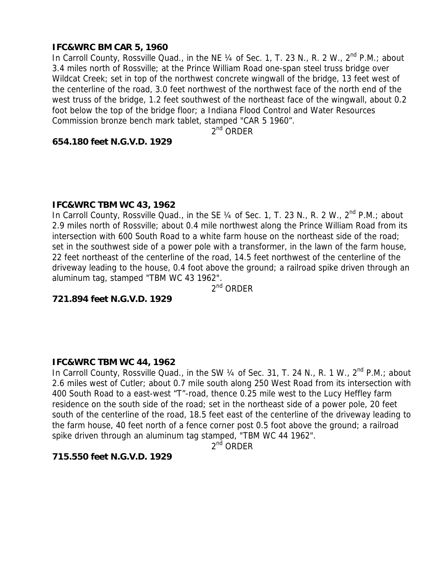## **IFC&WRC BM CAR 5, 1960**

In Carroll County, Rossville Quad., in the NE 1/4 of Sec. 1, T. 23 N., R. 2 W., 2<sup>nd</sup> P.M.; about 3.4 miles north of Rossville; at the Prince William Road one-span steel truss bridge over Wildcat Creek; set in top of the northwest concrete wingwall of the bridge, 13 feet west of the centerline of the road, 3.0 feet northwest of the northwest face of the north end of the west truss of the bridge, 1.2 feet southwest of the northeast face of the wingwall, about 0.2 foot below the top of the bridge floor; a Indiana Flood Control and Water Resources Commission bronze bench mark tablet, stamped "CAR 5 1960".

2<sup>nd</sup> ORDER

#### **654.180 feet N.G.V.D. 1929**

#### **IFC&WRC TBM WC 43, 1962**

In Carroll County, Rossville Quad., in the SE 1/4 of Sec. 1, T. 23 N., R. 2 W., 2<sup>nd</sup> P.M.; about 2.9 miles north of Rossville; about 0.4 mile northwest along the Prince William Road from its intersection with 600 South Road to a white farm house on the northeast side of the road; set in the southwest side of a power pole with a transformer, in the lawn of the farm house, 22 feet northeast of the centerline of the road, 14.5 feet northwest of the centerline of the driveway leading to the house, 0.4 foot above the ground; a railroad spike driven through an aluminum tag, stamped "TBM WC 43 1962".

2<sup>nd</sup> ORDER

**721.894 feet N.G.V.D. 1929** 

#### **IFC&WRC TBM WC 44, 1962**

In Carroll County, Rossville Quad., in the SW 1/4 of Sec. 31, T. 24 N., R. 1 W., 2<sup>nd</sup> P.M.; about 2.6 miles west of Cutler; about 0.7 mile south along 250 West Road from its intersection with 400 South Road to a east-west "T"-road, thence 0.25 mile west to the Lucy Heffley farm residence on the south side of the road; set in the northeast side of a power pole, 20 feet south of the centerline of the road, 18.5 feet east of the centerline of the driveway leading to the farm house, 40 feet north of a fence corner post 0.5 foot above the ground; a railroad spike driven through an aluminum tag stamped, "TBM WC 44 1962".

2<sup>nd</sup> ORDER

#### **715.550 feet N.G.V.D. 1929**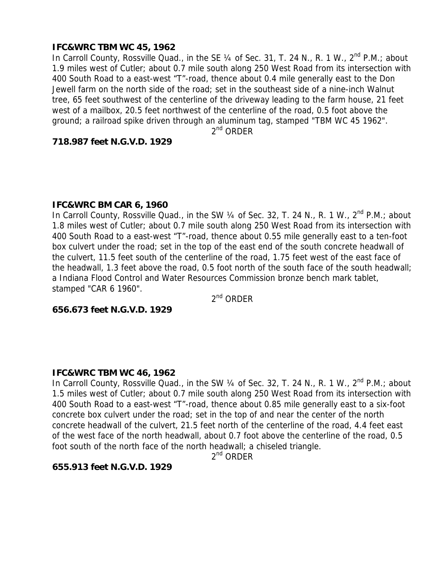## **IFC&WRC TBM WC 45, 1962**

In Carroll County, Rossville Quad., in the SE 1/4 of Sec. 31, T. 24 N., R. 1 W., 2<sup>nd</sup> P.M.; about 1.9 miles west of Cutler; about 0.7 mile south along 250 West Road from its intersection with 400 South Road to a east-west "T"-road, thence about 0.4 mile generally east to the Don Jewell farm on the north side of the road; set in the southeast side of a nine-inch Walnut tree, 65 feet southwest of the centerline of the driveway leading to the farm house, 21 feet west of a mailbox, 20.5 feet northwest of the centerline of the road, 0.5 foot above the ground; a railroad spike driven through an aluminum tag, stamped "TBM WC 45 1962".

2<sup>nd</sup> ORDER

#### **718.987 feet N.G.V.D. 1929**

#### **IFC&WRC BM CAR 6, 1960**

In Carroll County, Rossville Quad., in the SW  $\frac{1}{4}$  of Sec. 32, T. 24 N., R. 1 W.,  $2^{nd}$  P.M.; about 1.8 miles west of Cutler; about 0.7 mile south along 250 West Road from its intersection with 400 South Road to a east-west "T"-road, thence about 0.55 mile generally east to a ten-foot box culvert under the road; set in the top of the east end of the south concrete headwall of the culvert, 11.5 feet south of the centerline of the road, 1.75 feet west of the east face of the headwall, 1.3 feet above the road, 0.5 foot north of the south face of the south headwall; a Indiana Flood Control and Water Resources Commission bronze bench mark tablet, stamped "CAR 6 1960".

 $2<sup>nd</sup>$  ORDER

#### **656.673 feet N.G.V.D. 1929**

#### **IFC&WRC TBM WC 46, 1962**

In Carroll County, Rossville Quad., in the SW 1/4 of Sec. 32, T. 24 N., R. 1 W., 2<sup>nd</sup> P.M.; about 1.5 miles west of Cutler; about 0.7 mile south along 250 West Road from its intersection with 400 South Road to a east-west "T"-road, thence about 0.85 mile generally east to a six-foot concrete box culvert under the road; set in the top of and near the center of the north concrete headwall of the culvert, 21.5 feet north of the centerline of the road, 4.4 feet east of the west face of the north headwall, about 0.7 foot above the centerline of the road, 0.5 foot south of the north face of the north headwall; a chiseled triangle.

2<sup>nd</sup> ORDER

#### **655.913 feet N.G.V.D. 1929**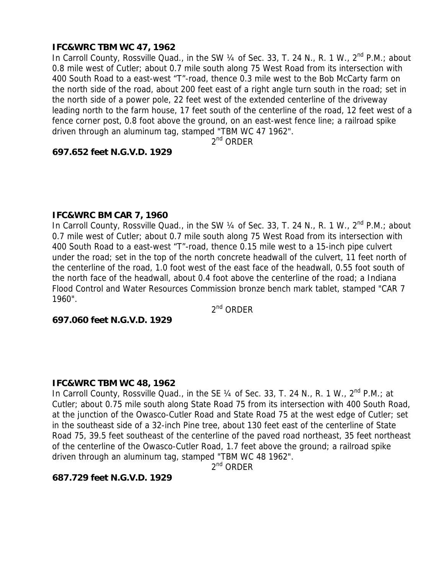# **IFC&WRC TBM WC 47, 1962**

In Carroll County, Rossville Quad., in the SW 1/4 of Sec. 33, T. 24 N., R. 1 W., 2<sup>nd</sup> P.M.; about 0.8 mile west of Cutler; about 0.7 mile south along 75 West Road from its intersection with 400 South Road to a east-west "T"-road, thence 0.3 mile west to the Bob McCarty farm on the north side of the road, about 200 feet east of a right angle turn south in the road; set in the north side of a power pole, 22 feet west of the extended centerline of the driveway leading north to the farm house, 17 feet south of the centerline of the road, 12 feet west of a fence corner post, 0.8 foot above the ground, on an east-west fence line; a railroad spike driven through an aluminum tag, stamped "TBM WC 47 1962".

 $2^{nd}$  ORDER

#### **697.652 feet N.G.V.D. 1929**

#### **IFC&WRC BM CAR 7, 1960**

In Carroll County, Rossville Quad., in the SW 1/4 of Sec. 33, T. 24 N., R. 1 W., 2<sup>nd</sup> P.M.; about 0.7 mile west of Cutler; about 0.7 mile south along 75 West Road from its intersection with 400 South Road to a east-west "T"-road, thence 0.15 mile west to a 15-inch pipe culvert under the road; set in the top of the north concrete headwall of the culvert, 11 feet north of the centerline of the road, 1.0 foot west of the east face of the headwall, 0.55 foot south of the north face of the headwall, about 0.4 foot above the centerline of the road; a Indiana Flood Control and Water Resources Commission bronze bench mark tablet, stamped "CAR 7 1960".

2<sup>nd</sup> ORDER

#### **697.060 feet N.G.V.D. 1929**

## **IFC&WRC TBM WC 48, 1962**

In Carroll County, Rossville Quad., in the SE  $\frac{1}{4}$  of Sec. 33, T. 24 N., R. 1 W.,  $2^{nd}$  P.M.; at Cutler; about 0.75 mile south along State Road 75 from its intersection with 400 South Road, at the junction of the Owasco-Cutler Road and State Road 75 at the west edge of Cutler; set in the southeast side of a 32-inch Pine tree, about 130 feet east of the centerline of State Road 75, 39.5 feet southeast of the centerline of the paved road northeast, 35 feet northeast of the centerline of the Owasco-Cutler Road, 1.7 feet above the ground; a railroad spike driven through an aluminum tag, stamped "TBM WC 48 1962".

 $2^{nd}$  ORDER

## **687.729 feet N.G.V.D. 1929**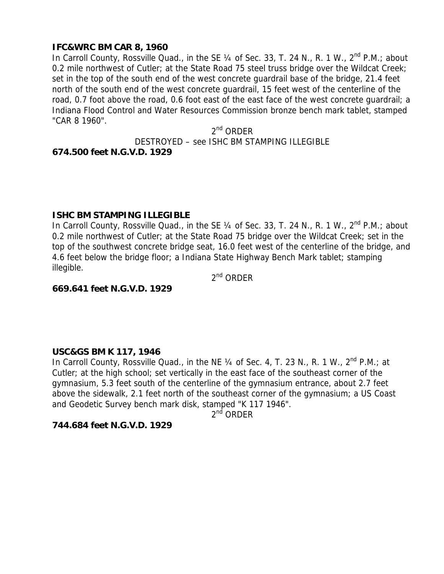## **IFC&WRC BM CAR 8, 1960**

In Carroll County, Rossville Quad., in the SE 1/4 of Sec. 33, T. 24 N., R. 1 W., 2<sup>nd</sup> P.M.; about 0.2 mile northwest of Cutler; at the State Road 75 steel truss bridge over the Wildcat Creek; set in the top of the south end of the west concrete guardrail base of the bridge, 21.4 feet north of the south end of the west concrete guardrail, 15 feet west of the centerline of the road, 0.7 foot above the road, 0.6 foot east of the east face of the west concrete guardrail; a Indiana Flood Control and Water Resources Commission bronze bench mark tablet, stamped "CAR 8 1960".

 $2<sup>nd</sup>$  ORDER DESTROYED – see ISHC BM STAMPING ILLEGIBLE **674.500 feet N.G.V.D. 1929** 

#### **ISHC BM STAMPING ILLEGIBLE**

In Carroll County, Rossville Quad., in the SE 1/4 of Sec. 33, T. 24 N., R. 1 W., 2<sup>nd</sup> P.M.; about 0.2 mile northwest of Cutler; at the State Road 75 bridge over the Wildcat Creek; set in the top of the southwest concrete bridge seat, 16.0 feet west of the centerline of the bridge, and 4.6 feet below the bridge floor; a Indiana State Highway Bench Mark tablet; stamping illegible.

 $2<sup>nd</sup>$  ORDER

#### **669.641 feet N.G.V.D. 1929**

#### **USC&GS BM K 117, 1946**

In Carroll County, Rossville Quad., in the NE 1/4 of Sec. 4, T. 23 N., R. 1 W., 2<sup>nd</sup> P.M.; at Cutler; at the high school; set vertically in the east face of the southeast corner of the gymnasium, 5.3 feet south of the centerline of the gymnasium entrance, about 2.7 feet above the sidewalk, 2.1 feet north of the southeast corner of the gymnasium; a US Coast and Geodetic Survey bench mark disk, stamped "K 117 1946".

 $2^{nd}$  ORDER

#### **744.684 feet N.G.V.D. 1929**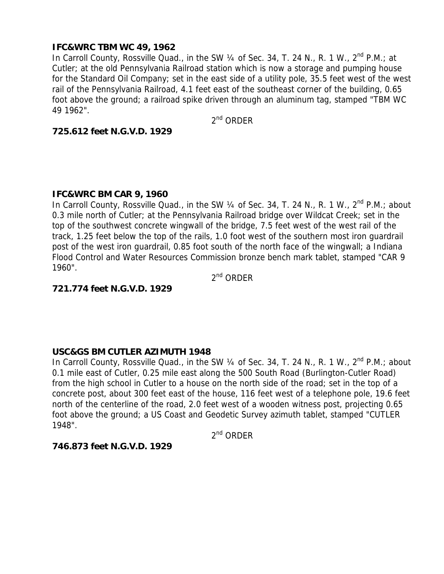## **IFC&WRC TBM WC 49, 1962**

In Carroll County, Rossville Quad., in the SW  $\frac{1}{4}$  of Sec. 34, T. 24 N., R. 1 W., 2<sup>nd</sup> P.M.; at Cutler; at the old Pennsylvania Railroad station which is now a storage and pumping house for the Standard Oil Company; set in the east side of a utility pole, 35.5 feet west of the west rail of the Pennsylvania Railroad, 4.1 feet east of the southeast corner of the building, 0.65 foot above the ground; a railroad spike driven through an aluminum tag, stamped "TBM WC 49 1962".

 $2^{nd}$  ORDER

## **725.612 feet N.G.V.D. 1929**

## **IFC&WRC BM CAR 9, 1960**

In Carroll County, Rossville Quad., in the SW 1/4 of Sec. 34, T. 24 N., R. 1 W., 2<sup>nd</sup> P.M.; about 0.3 mile north of Cutler; at the Pennsylvania Railroad bridge over Wildcat Creek; set in the top of the southwest concrete wingwall of the bridge, 7.5 feet west of the west rail of the track, 1.25 feet below the top of the rails, 1.0 foot west of the southern most iron guardrail post of the west iron guardrail, 0.85 foot south of the north face of the wingwall; a Indiana Flood Control and Water Resources Commission bronze bench mark tablet, stamped "CAR 9 1960".

 $2<sup>nd</sup>$  ORDER

## **721.774 feet N.G.V.D. 1929**

## **USC&GS BM CUTLER AZIMUTH 1948**

In Carroll County, Rossville Quad., in the SW 1/4 of Sec. 34, T. 24 N., R. 1 W., 2<sup>nd</sup> P.M.; about 0.1 mile east of Cutler, 0.25 mile east along the 500 South Road (Burlington-Cutler Road) from the high school in Cutler to a house on the north side of the road; set in the top of a concrete post, about 300 feet east of the house, 116 feet west of a telephone pole, 19.6 feet north of the centerline of the road, 2.0 feet west of a wooden witness post, projecting 0.65 foot above the ground; a US Coast and Geodetic Survey azimuth tablet, stamped "CUTLER 1948".

 $2<sup>nd</sup>$  ORDER

## **746.873 feet N.G.V.D. 1929**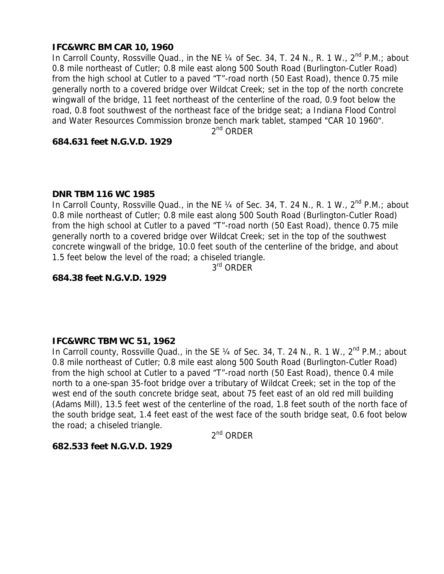## **IFC&WRC BM CAR 10, 1960**

In Carroll County, Rossville Quad., in the NE 1/4 of Sec. 34, T. 24 N., R. 1 W., 2<sup>nd</sup> P.M.; about 0.8 mile northeast of Cutler; 0.8 mile east along 500 South Road (Burlington-Cutler Road) from the high school at Cutler to a paved "T"-road north (50 East Road), thence 0.75 mile generally north to a covered bridge over Wildcat Creek; set in the top of the north concrete wingwall of the bridge, 11 feet northeast of the centerline of the road, 0.9 foot below the road, 0.8 foot southwest of the northeast face of the bridge seat; a Indiana Flood Control and Water Resources Commission bronze bench mark tablet, stamped "CAR 10 1960".

2<sup>nd</sup> ORDER

#### **684.631 feet N.G.V.D. 1929**

#### **DNR TBM 116 WC 1985**

In Carroll County, Rossville Quad., in the NE 1/4 of Sec. 34, T. 24 N., R. 1 W., 2<sup>nd</sup> P.M.; about 0.8 mile northeast of Cutler; 0.8 mile east along 500 South Road (Burlington-Cutler Road) from the high school at Cutler to a paved "T"-road north (50 East Road), thence 0.75 mile generally north to a covered bridge over Wildcat Creek; set in the top of the southwest concrete wingwall of the bridge, 10.0 feet south of the centerline of the bridge, and about 1.5 feet below the level of the road; a chiseled triangle.

3<sup>rd</sup> ORDER

#### **684.38 feet N.G.V.D. 1929**

#### **IFC&WRC TBM WC 51, 1962**

In Carroll county, Rossville Quad., in the SE 1/4 of Sec. 34, T. 24 N., R. 1 W., 2<sup>nd</sup> P.M.; about 0.8 mile northeast of Cutler; 0.8 mile east along 500 South Road (Burlington-Cutler Road) from the high school at Cutler to a paved "T"-road north (50 East Road), thence 0.4 mile north to a one-span 35-foot bridge over a tributary of Wildcat Creek; set in the top of the west end of the south concrete bridge seat, about 75 feet east of an old red mill building (Adams Mill), 13.5 feet west of the centerline of the road, 1.8 feet south of the north face of the south bridge seat, 1.4 feet east of the west face of the south bridge seat, 0.6 foot below the road; a chiseled triangle.

 $2<sup>nd</sup>$  ORDER

#### **682.533 feet N.G.V.D. 1929**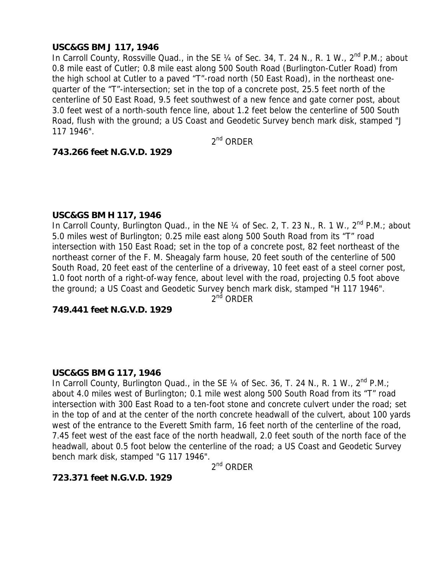## **USC&GS BM J 117, 1946**

In Carroll County, Rossville Quad., in the SE 1/4 of Sec. 34, T. 24 N., R. 1 W., 2<sup>nd</sup> P.M.; about 0.8 mile east of Cutler; 0.8 mile east along 500 South Road (Burlington-Cutler Road) from the high school at Cutler to a paved "T"-road north (50 East Road), in the northeast onequarter of the "T"-intersection; set in the top of a concrete post, 25.5 feet north of the centerline of 50 East Road, 9.5 feet southwest of a new fence and gate corner post, about 3.0 feet west of a north-south fence line, about 1.2 feet below the centerline of 500 South Road, flush with the ground; a US Coast and Geodetic Survey bench mark disk, stamped "J 117 1946".

2nd ORDER

#### **743.266 feet N.G.V.D. 1929**

#### **USC&GS BM H 117, 1946**

In Carroll County, Burlington Quad., in the NE 1/4 of Sec. 2, T. 23 N., R. 1 W., 2<sup>nd</sup> P.M.; about 5.0 miles west of Burlington; 0.25 mile east along 500 South Road from its "T" road intersection with 150 East Road; set in the top of a concrete post, 82 feet northeast of the northeast corner of the F. M. Sheagaly farm house, 20 feet south of the centerline of 500 South Road, 20 feet east of the centerline of a driveway, 10 feet east of a steel corner post, 1.0 foot north of a right-of-way fence, about level with the road, projecting 0.5 foot above the ground; a US Coast and Geodetic Survey bench mark disk, stamped "H 117 1946".

2<sup>nd</sup> ORDER

# **749.441 feet N.G.V.D. 1929**

#### **USC&GS BM G 117, 1946**

In Carroll County, Burlington Quad., in the SE 1/4 of Sec. 36, T. 24 N., R. 1 W., 2<sup>nd</sup> P.M.; about 4.0 miles west of Burlington; 0.1 mile west along 500 South Road from its "T" road intersection with 300 East Road to a ten-foot stone and concrete culvert under the road; set in the top of and at the center of the north concrete headwall of the culvert, about 100 yards west of the entrance to the Everett Smith farm, 16 feet north of the centerline of the road, 7.45 feet west of the east face of the north headwall, 2.0 feet south of the north face of the headwall, about 0.5 foot below the centerline of the road; a US Coast and Geodetic Survey bench mark disk, stamped "G 117 1946".

 $2<sup>nd</sup>$  ORDER

## **723.371 feet N.G.V.D. 1929**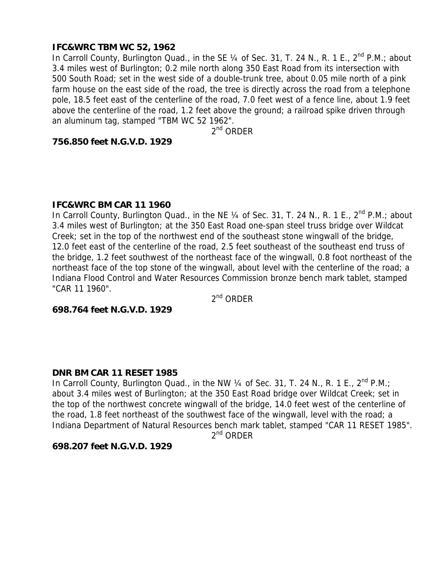## **IFC&WRC TBM WC 52, 1962**

In Carroll County, Burlington Quad., in the SE  $\frac{1}{4}$  of Sec. 31, T. 24 N., R. 1 E., 2<sup>nd</sup> P.M.; about 3.4 miles west of Burlington; 0.2 mile north along 350 East Road from its intersection with 500 South Road; set in the west side of a double-trunk tree, about 0.05 mile north of a pink farm house on the east side of the road, the tree is directly across the road from a telephone pole, 18.5 feet east of the centerline of the road, 7.0 feet west of a fence line, about 1.9 feet above the centerline of the road, 1.2 feet above the ground; a railroad spike driven through an aluminum tag, stamped "TBM WC 52 1962".

2<sup>nd</sup> ORDER

## **756.850 feet N.G.V.D. 1929**

#### **IFC&WRC BM CAR 11 1960**

In Carroll County, Burlington Quad., in the NE  $\frac{1}{4}$  of Sec. 31, T. 24 N., R. 1 E., 2<sup>nd</sup> P.M.; about 3.4 miles west of Burlington; at the 350 East Road one-span steel truss bridge over Wildcat Creek; set in the top of the northwest end of the southeast stone wingwall of the bridge, 12.0 feet east of the centerline of the road, 2.5 feet southeast of the southeast end truss of the bridge, 1.2 feet southwest of the northeast face of the wingwall, 0.8 foot northeast of the northeast face of the top stone of the wingwall, about level with the centerline of the road; a Indiana Flood Control and Water Resources Commission bronze bench mark tablet, stamped "CAR 11 1960".

 $2<sup>nd</sup>$  ORDER

**698.764 feet N.G.V.D. 1929** 

#### **DNR BM CAR 11 RESET 1985**

In Carroll County, Burlington Quad., in the NW 1/4 of Sec. 31, T. 24 N., R. 1 E., 2<sup>nd</sup> P.M.; about 3.4 miles west of Burlington; at the 350 East Road bridge over Wildcat Creek; set in the top of the northwest concrete wingwall of the bridge, 14.0 feet west of the centerline of the road, 1.8 feet northeast of the southwest face of the wingwall, level with the road; a Indiana Department of Natural Resources bench mark tablet, stamped "CAR 11 RESET 1985".  $2^{nd}$  ORDER

## **698.207 feet N.G.V.D. 1929**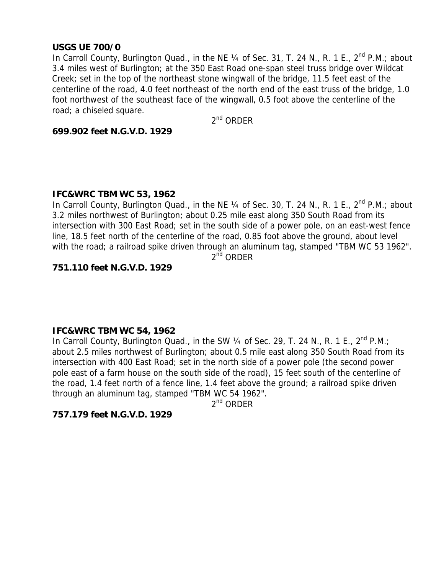#### **USGS UE 700/0**

In Carroll County, Burlington Quad., in the NE  $\frac{1}{4}$  of Sec. 31, T. 24 N., R. 1 E., 2<sup>nd</sup> P.M.; about 3.4 miles west of Burlington; at the 350 East Road one-span steel truss bridge over Wildcat Creek; set in the top of the northeast stone wingwall of the bridge, 11.5 feet east of the centerline of the road, 4.0 feet northeast of the north end of the east truss of the bridge, 1.0 foot northwest of the southeast face of the wingwall, 0.5 foot above the centerline of the road; a chiseled square.

2nd ORDER

#### **699.902 feet N.G.V.D. 1929**

## **IFC&WRC TBM WC 53, 1962**

In Carroll County, Burlington Quad., in the NE 1/4 of Sec. 30, T. 24 N., R. 1 E., 2<sup>nd</sup> P.M.; about 3.2 miles northwest of Burlington; about 0.25 mile east along 350 South Road from its intersection with 300 East Road; set in the south side of a power pole, on an east-west fence line, 18.5 feet north of the centerline of the road, 0.85 foot above the ground, about level with the road; a railroad spike driven through an aluminum tag, stamped "TBM WC 53 1962".

2<sup>nd</sup> ORDER

# **751.110 feet N.G.V.D. 1929**

## **IFC&WRC TBM WC 54, 1962**

In Carroll County, Burlington Quad., in the SW 1/4 of Sec. 29, T. 24 N., R. 1 E., 2<sup>nd</sup> P.M.; about 2.5 miles northwest of Burlington; about 0.5 mile east along 350 South Road from its intersection with 400 East Road; set in the north side of a power pole (the second power pole east of a farm house on the south side of the road), 15 feet south of the centerline of the road, 1.4 feet north of a fence line, 1.4 feet above the ground; a railroad spike driven through an aluminum tag, stamped "TBM WC 54 1962".

 $2^{nd}$  ORDER

## **757.179 feet N.G.V.D. 1929**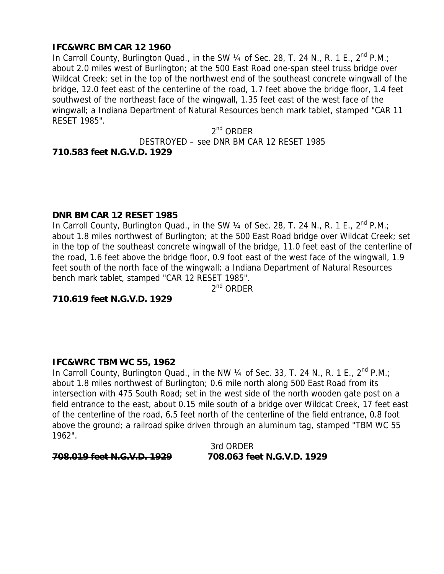# **IFC&WRC BM CAR 12 1960**

In Carroll County, Burlington Quad., in the SW  $\frac{1}{4}$  of Sec. 28, T. 24 N., R. 1 E., 2<sup>nd</sup> P.M.; about 2.0 miles west of Burlington; at the 500 East Road one-span steel truss bridge over Wildcat Creek; set in the top of the northwest end of the southeast concrete wingwall of the bridge, 12.0 feet east of the centerline of the road, 1.7 feet above the bridge floor, 1.4 feet southwest of the northeast face of the wingwall, 1.35 feet east of the west face of the wingwall; a Indiana Department of Natural Resources bench mark tablet, stamped "CAR 11 RESET 1985".

> $2<sup>nd</sup>$  ORDER DESTROYED – see DNR BM CAR 12 RESET 1985

#### **710.583 feet N.G.V.D. 1929**

## **DNR BM CAR 12 RESET 1985**

In Carroll County, Burlington Quad., in the SW 1/4 of Sec. 28, T. 24 N., R. 1 E., 2<sup>nd</sup> P.M.; about 1.8 miles northwest of Burlington; at the 500 East Road bridge over Wildcat Creek; set in the top of the southeast concrete wingwall of the bridge, 11.0 feet east of the centerline of the road, 1.6 feet above the bridge floor, 0.9 foot east of the west face of the wingwall, 1.9 feet south of the north face of the wingwall; a Indiana Department of Natural Resources bench mark tablet, stamped "CAR 12 RESET 1985".

 $2^{nd}$  ORDER

**710.619 feet N.G.V.D. 1929** 

## **IFC&WRC TBM WC 55, 1962**

In Carroll County, Burlington Quad., in the NW  $\frac{1}{4}$  of Sec. 33, T. 24 N., R. 1 E., 2<sup>nd</sup> P.M.; about 1.8 miles northwest of Burlington; 0.6 mile north along 500 East Road from its intersection with 475 South Road; set in the west side of the north wooden gate post on a field entrance to the east, about 0.15 mile south of a bridge over Wildcat Creek, 17 feet east of the centerline of the road, 6.5 feet north of the centerline of the field entrance, 0.8 foot above the ground; a railroad spike driven through an aluminum tag, stamped "TBM WC 55 1962".

3rd ORDER

## **708.019 feet N.G.V.D. 1929 708.063 feet N.G.V.D. 1929**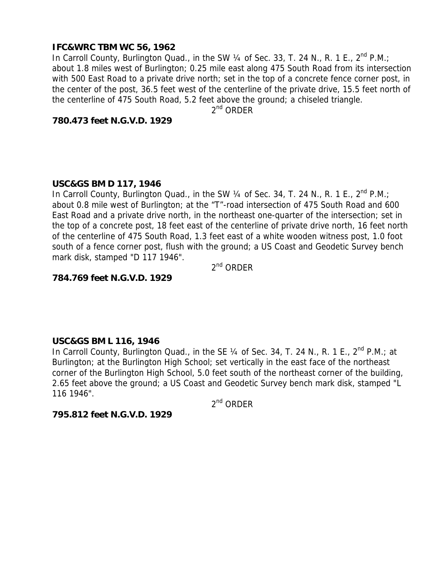## **IFC&WRC TBM WC 56, 1962**

In Carroll County, Burlington Quad., in the SW  $\frac{1}{4}$  of Sec. 33, T. 24 N., R. 1 E., 2<sup>nd</sup> P.M.; about 1.8 miles west of Burlington; 0.25 mile east along 475 South Road from its intersection with 500 East Road to a private drive north; set in the top of a concrete fence corner post, in the center of the post, 36.5 feet west of the centerline of the private drive, 15.5 feet north of the centerline of 475 South Road, 5.2 feet above the ground; a chiseled triangle.

 $2^{nd}$  ORDER

**780.473 feet N.G.V.D. 1929** 

## **USC&GS BM D 117, 1946**

In Carroll County, Burlington Quad., in the SW  $\frac{1}{4}$  of Sec. 34, T. 24 N., R. 1 E., 2<sup>nd</sup> P.M.; about 0.8 mile west of Burlington; at the "T"-road intersection of 475 South Road and 600 East Road and a private drive north, in the northeast one-quarter of the intersection; set in the top of a concrete post, 18 feet east of the centerline of private drive north, 16 feet north of the centerline of 475 South Road, 1.3 feet east of a white wooden witness post, 1.0 foot south of a fence corner post, flush with the ground; a US Coast and Geodetic Survey bench mark disk, stamped "D 117 1946".

 $2^{nd}$  ORDER

## **784.769 feet N.G.V.D. 1929**

## **USC&GS BM L 116, 1946**

In Carroll County, Burlington Quad., in the SE 1/4 of Sec. 34, T. 24 N., R. 1 E., 2<sup>nd</sup> P.M.; at Burlington; at the Burlington High School; set vertically in the east face of the northeast corner of the Burlington High School, 5.0 feet south of the northeast corner of the building, 2.65 feet above the ground; a US Coast and Geodetic Survey bench mark disk, stamped "L 116 1946".

2nd ORDER

**795.812 feet N.G.V.D. 1929**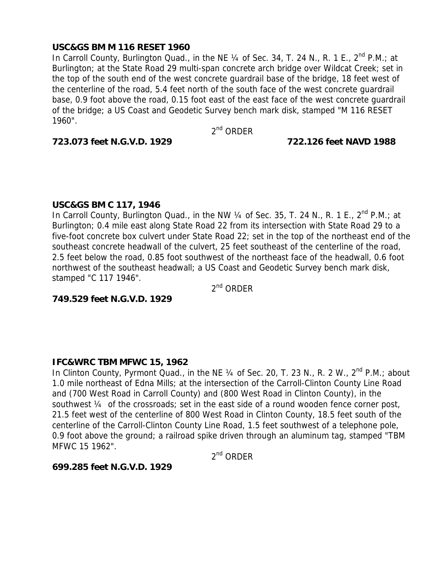## **USC&GS BM M 116 RESET 1960**

In Carroll County, Burlington Quad., in the NE  $\frac{1}{4}$  of Sec. 34, T. 24 N., R. 1 E., 2<sup>nd</sup> P.M.; at Burlington; at the State Road 29 multi-span concrete arch bridge over Wildcat Creek; set in the top of the south end of the west concrete guardrail base of the bridge, 18 feet west of the centerline of the road, 5.4 feet north of the south face of the west concrete guardrail base, 0.9 foot above the road, 0.15 foot east of the east face of the west concrete guardrail of the bridge; a US Coast and Geodetic Survey bench mark disk, stamped "M 116 RESET 1960".

 $2<sup>nd</sup>$  ORDER

#### **723.073 feet N.G.V.D. 1929 722.126 feet NAVD 1988**

## **USC&GS BM C 117, 1946**

In Carroll County, Burlington Quad., in the NW  $\frac{1}{4}$  of Sec. 35, T. 24 N., R. 1 E., 2<sup>nd</sup> P.M.; at Burlington; 0.4 mile east along State Road 22 from its intersection with State Road 29 to a five-foot concrete box culvert under State Road 22; set in the top of the northeast end of the southeast concrete headwall of the culvert, 25 feet southeast of the centerline of the road, 2.5 feet below the road, 0.85 foot southwest of the northeast face of the headwall, 0.6 foot northwest of the southeast headwall; a US Coast and Geodetic Survey bench mark disk, stamped "C 117 1946".

 $2^{nd}$  ORDER

**749.529 feet N.G.V.D. 1929** 

## **IFC&WRC TBM MFWC 15, 1962**

In Clinton County, Pyrmont Quad., in the NE  $\frac{1}{4}$  of Sec. 20, T. 23 N., R. 2 W.,  $2^{nd}$  P.M.; about 1.0 mile northeast of Edna Mills; at the intersection of the Carroll-Clinton County Line Road and (700 West Road in Carroll County) and (800 West Road in Clinton County), in the southwest ¼ of the crossroads; set in the east side of a round wooden fence corner post, 21.5 feet west of the centerline of 800 West Road in Clinton County, 18.5 feet south of the centerline of the Carroll-Clinton County Line Road, 1.5 feet southwest of a telephone pole, 0.9 foot above the ground; a railroad spike driven through an aluminum tag, stamped "TBM MFWC 15 1962".

 $2^{nd}$  ORDER

## **699.285 feet N.G.V.D. 1929**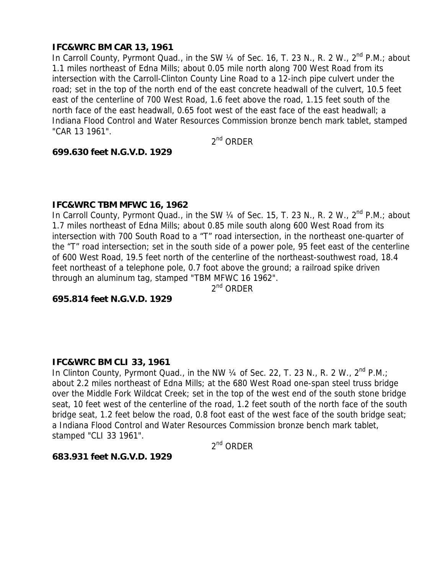## **IFC&WRC BM CAR 13, 1961**

In Carroll County, Pyrmont Quad., in the SW 1/4 of Sec. 16, T. 23 N., R. 2 W., 2<sup>nd</sup> P.M.; about 1.1 miles northeast of Edna Mills; about 0.05 mile north along 700 West Road from its intersection with the Carroll-Clinton County Line Road to a 12-inch pipe culvert under the road; set in the top of the north end of the east concrete headwall of the culvert, 10.5 feet east of the centerline of 700 West Road, 1.6 feet above the road, 1.15 feet south of the north face of the east headwall, 0.65 foot west of the east face of the east headwall; a Indiana Flood Control and Water Resources Commission bronze bench mark tablet, stamped "CAR 13 1961".

2nd ORDER

#### **699.630 feet N.G.V.D. 1929**

#### **IFC&WRC TBM MFWC 16, 1962**

In Carroll County, Pyrmont Quad., in the SW  $\frac{1}{4}$  of Sec. 15, T. 23 N., R. 2 W.,  $2^{nd}$  P.M.; about 1.7 miles northeast of Edna Mills; about 0.85 mile south along 600 West Road from its intersection with 700 South Road to a "T" road intersection, in the northeast one-quarter of the "T" road intersection; set in the south side of a power pole, 95 feet east of the centerline of 600 West Road, 19.5 feet north of the centerline of the northeast-southwest road, 18.4 feet northeast of a telephone pole, 0.7 foot above the ground; a railroad spike driven through an aluminum tag, stamped "TBM MFWC 16 1962".

 $2^{nd}$  ORDER

**695.814 feet N.G.V.D. 1929** 

## **IFC&WRC BM CLI 33, 1961**

In Clinton County, Pyrmont Quad., in the NW 1/4 of Sec. 22, T. 23 N., R. 2 W., 2<sup>nd</sup> P.M.; about 2.2 miles northeast of Edna Mills; at the 680 West Road one-span steel truss bridge over the Middle Fork Wildcat Creek; set in the top of the west end of the south stone bridge seat, 10 feet west of the centerline of the road, 1.2 feet south of the north face of the south bridge seat, 1.2 feet below the road, 0.8 foot east of the west face of the south bridge seat; a Indiana Flood Control and Water Resources Commission bronze bench mark tablet, stamped "CLI 33 1961".

2nd ORDER

## **683.931 feet N.G.V.D. 1929**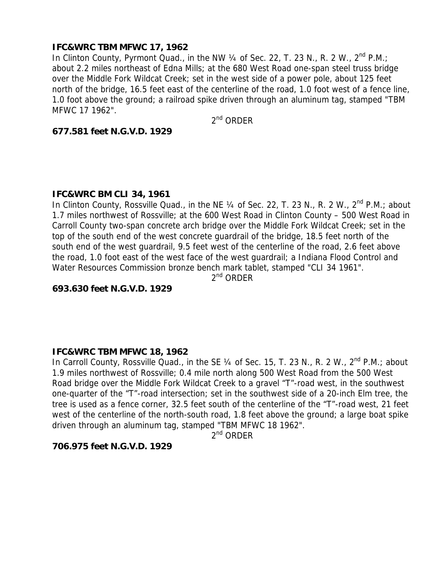## **IFC&WRC TBM MFWC 17, 1962**

In Clinton County, Pyrmont Quad., in the NW  $\frac{1}{4}$  of Sec. 22, T. 23 N., R. 2 W.,  $2^{\text{nd}}$  P.M.; about 2.2 miles northeast of Edna Mills; at the 680 West Road one-span steel truss bridge over the Middle Fork Wildcat Creek; set in the west side of a power pole, about 125 feet north of the bridge, 16.5 feet east of the centerline of the road, 1.0 foot west of a fence line, 1.0 foot above the ground; a railroad spike driven through an aluminum tag, stamped "TBM MFWC 17 1962".

2<sup>nd</sup> ORDER

## **677.581 feet N.G.V.D. 1929**

## **IFC&WRC BM CLI 34, 1961**

In Clinton County, Rossville Quad., in the NE  $\frac{1}{4}$  of Sec. 22, T. 23 N., R. 2 W., 2<sup>nd</sup> P.M.; about 1.7 miles northwest of Rossville; at the 600 West Road in Clinton County – 500 West Road in Carroll County two-span concrete arch bridge over the Middle Fork Wildcat Creek; set in the top of the south end of the west concrete guardrail of the bridge, 18.5 feet north of the south end of the west guardrail, 9.5 feet west of the centerline of the road, 2.6 feet above the road, 1.0 foot east of the west face of the west guardrail; a Indiana Flood Control and Water Resources Commission bronze bench mark tablet, stamped "CLI 34 1961".

 $2<sup>nd</sup>$  ORDER

**693.630 feet N.G.V.D. 1929** 

## **IFC&WRC TBM MFWC 18, 1962**

In Carroll County, Rossville Quad., in the SE  $\frac{1}{4}$  of Sec. 15, T. 23 N., R. 2 W.,  $2^{nd}$  P.M.; about 1.9 miles northwest of Rossville; 0.4 mile north along 500 West Road from the 500 West Road bridge over the Middle Fork Wildcat Creek to a gravel "T"-road west, in the southwest one-quarter of the "T"-road intersection; set in the southwest side of a 20-inch Elm tree, the tree is used as a fence corner, 32.5 feet south of the centerline of the "T"-road west, 21 feet west of the centerline of the north-south road, 1.8 feet above the ground; a large boat spike driven through an aluminum tag, stamped "TBM MFWC 18 1962".

 $2^{nd}$  ORDER

## **706.975 feet N.G.V.D. 1929**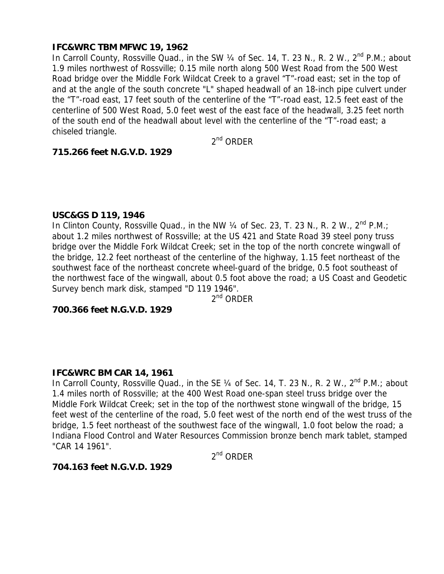## **IFC&WRC TBM MFWC 19, 1962**

In Carroll County, Rossville Quad., in the SW 1/4 of Sec. 14, T. 23 N., R. 2 W., 2<sup>nd</sup> P.M.; about 1.9 miles northwest of Rossville; 0.15 mile north along 500 West Road from the 500 West Road bridge over the Middle Fork Wildcat Creek to a gravel "T"-road east; set in the top of and at the angle of the south concrete "L" shaped headwall of an 18-inch pipe culvert under the "T"-road east, 17 feet south of the centerline of the "T"-road east, 12.5 feet east of the centerline of 500 West Road, 5.0 feet west of the east face of the headwall, 3.25 feet north of the south end of the headwall about level with the centerline of the "T"-road east; a chiseled triangle.

2nd ORDER

#### **715.266 feet N.G.V.D. 1929**

#### **USC&GS D 119, 1946**

In Clinton County, Rossville Quad., in the NW  $\frac{1}{4}$  of Sec. 23, T. 23 N., R. 2 W.,  $2^{nd}$  P.M.; about 1.2 miles northwest of Rossville; at the US 421 and State Road 39 steel pony truss bridge over the Middle Fork Wildcat Creek; set in the top of the north concrete wingwall of the bridge, 12.2 feet northeast of the centerline of the highway, 1.15 feet northeast of the southwest face of the northeast concrete wheel-guard of the bridge, 0.5 foot southeast of the northwest face of the wingwall, about 0.5 foot above the road; a US Coast and Geodetic Survey bench mark disk, stamped "D 119 1946".

2<sup>nd</sup> ORDER

#### **700.366 feet N.G.V.D. 1929**

#### **IFC&WRC BM CAR 14, 1961**

In Carroll County, Rossville Quad., in the SE 1/4 of Sec. 14, T. 23 N., R. 2 W., 2<sup>nd</sup> P.M.; about 1.4 miles north of Rossville; at the 400 West Road one-span steel truss bridge over the Middle Fork Wildcat Creek; set in the top of the northwest stone wingwall of the bridge, 15 feet west of the centerline of the road, 5.0 feet west of the north end of the west truss of the bridge, 1.5 feet northeast of the southwest face of the wingwall, 1.0 foot below the road; a Indiana Flood Control and Water Resources Commission bronze bench mark tablet, stamped "CAR 14 1961".

 $2^{nd}$  ORDER

#### **704.163 feet N.G.V.D. 1929**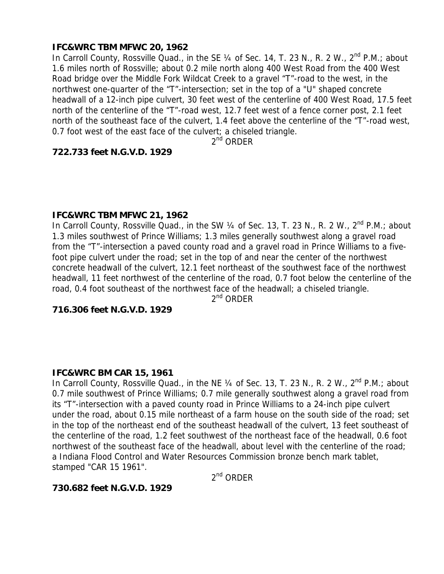## **IFC&WRC TBM MFWC 20, 1962**

In Carroll County, Rossville Quad., in the SE 1/4 of Sec. 14, T. 23 N., R. 2 W., 2<sup>nd</sup> P.M.; about 1.6 miles north of Rossville; about 0.2 mile north along 400 West Road from the 400 West Road bridge over the Middle Fork Wildcat Creek to a gravel "T"-road to the west, in the northwest one-quarter of the "T"-intersection; set in the top of a "U" shaped concrete headwall of a 12-inch pipe culvert, 30 feet west of the centerline of 400 West Road, 17.5 feet north of the centerline of the "T"-road west, 12.7 feet west of a fence corner post, 2.1 feet north of the southeast face of the culvert, 1.4 feet above the centerline of the "T"-road west, 0.7 foot west of the east face of the culvert; a chiseled triangle.

 $2^{nd}$  ORDER

## **722.733 feet N.G.V.D. 1929**

## **IFC&WRC TBM MFWC 21, 1962**

In Carroll County, Rossville Quad., in the SW 1/4 of Sec. 13, T. 23 N., R. 2 W., 2<sup>nd</sup> P.M.; about 1.3 miles southwest of Prince Williams; 1.3 miles generally southwest along a gravel road from the "T"-intersection a paved county road and a gravel road in Prince Williams to a fivefoot pipe culvert under the road; set in the top of and near the center of the northwest concrete headwall of the culvert, 12.1 feet northeast of the southwest face of the northwest headwall, 11 feet northwest of the centerline of the road, 0.7 foot below the centerline of the road, 0.4 foot southeast of the northwest face of the headwall; a chiseled triangle.

2<sup>nd</sup> ORDER

#### **716.306 feet N.G.V.D. 1929**

#### **IFC&WRC BM CAR 15, 1961**

In Carroll County, Rossville Quad., in the NE 1/4 of Sec. 13, T. 23 N., R. 2 W., 2<sup>nd</sup> P.M.; about 0.7 mile southwest of Prince Williams; 0.7 mile generally southwest along a gravel road from its "T"-intersection with a paved county road in Prince Williams to a 24-inch pipe culvert under the road, about 0.15 mile northeast of a farm house on the south side of the road; set in the top of the northeast end of the southeast headwall of the culvert, 13 feet southeast of the centerline of the road, 1.2 feet southwest of the northeast face of the headwall, 0.6 foot northwest of the southeast face of the headwall, about level with the centerline of the road; a Indiana Flood Control and Water Resources Commission bronze bench mark tablet, stamped "CAR 15 1961".

 $2^{nd}$  ORDER

## **730.682 feet N.G.V.D. 1929**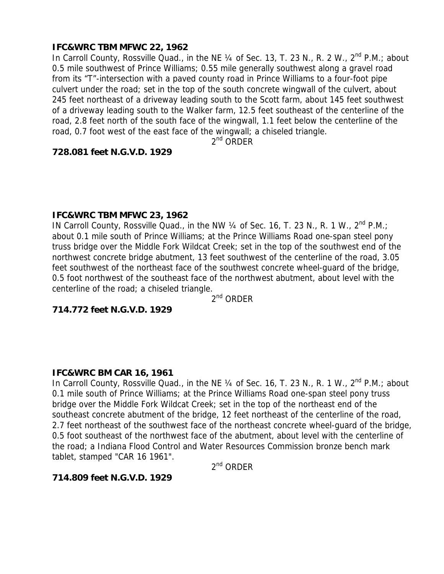# **IFC&WRC TBM MFWC 22, 1962**

In Carroll County, Rossville Quad., in the NE 1/4 of Sec. 13, T. 23 N., R. 2 W., 2<sup>nd</sup> P.M.; about 0.5 mile southwest of Prince Williams; 0.55 mile generally southwest along a gravel road from its "T"-intersection with a paved county road in Prince Williams to a four-foot pipe culvert under the road; set in the top of the south concrete wingwall of the culvert, about 245 feet northeast of a driveway leading south to the Scott farm, about 145 feet southwest of a driveway leading south to the Walker farm, 12.5 feet southeast of the centerline of the road, 2.8 feet north of the south face of the wingwall, 1.1 feet below the centerline of the road, 0.7 foot west of the east face of the wingwall; a chiseled triangle.

 $2^{nd}$  ORDER

#### **728.081 feet N.G.V.D. 1929**

#### **IFC&WRC TBM MFWC 23, 1962**

IN Carroll County, Rossville Quad., in the NW  $\frac{1}{4}$  of Sec. 16, T. 23 N., R. 1 W.,  $2^{nd}$  P.M.; about 0.1 mile south of Prince Williams; at the Prince Williams Road one-span steel pony truss bridge over the Middle Fork Wildcat Creek; set in the top of the southwest end of the northwest concrete bridge abutment, 13 feet southwest of the centerline of the road, 3.05 feet southwest of the northeast face of the southwest concrete wheel-guard of the bridge, 0.5 foot northwest of the southeast face of the northwest abutment, about level with the centerline of the road; a chiseled triangle.

2nd ORDER

# **714.772 feet N.G.V.D. 1929**

## **IFC&WRC BM CAR 16, 1961**

In Carroll County, Rossville Quad., in the NE 1/4 of Sec. 16, T. 23 N., R. 1 W., 2<sup>nd</sup> P.M.; about 0.1 mile south of Prince Williams; at the Prince Williams Road one-span steel pony truss bridge over the Middle Fork Wildcat Creek; set in the top of the northeast end of the southeast concrete abutment of the bridge, 12 feet northeast of the centerline of the road, 2.7 feet northeast of the southwest face of the northeast concrete wheel-quard of the bridge, 0.5 foot southeast of the northwest face of the abutment, about level with the centerline of the road; a Indiana Flood Control and Water Resources Commission bronze bench mark tablet, stamped "CAR 16 1961".

2nd ORDER

## **714.809 feet N.G.V.D. 1929**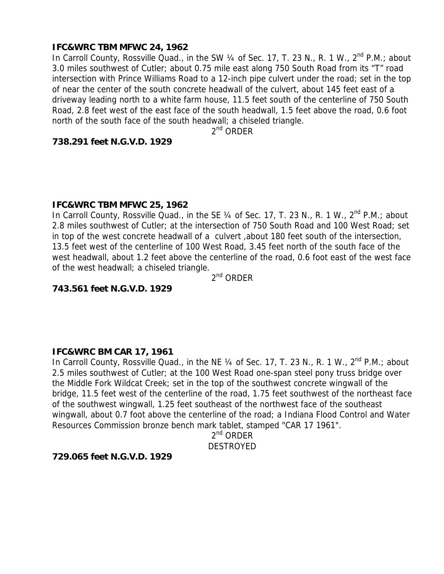## **IFC&WRC TBM MFWC 24, 1962**

In Carroll County, Rossville Quad., in the SW 1/4 of Sec. 17, T. 23 N., R. 1 W., 2<sup>nd</sup> P.M.; about 3.0 miles southwest of Cutler; about 0.75 mile east along 750 South Road from its "T" road intersection with Prince Williams Road to a 12-inch pipe culvert under the road; set in the top of near the center of the south concrete headwall of the culvert, about 145 feet east of a driveway leading north to a white farm house, 11.5 feet south of the centerline of 750 South Road, 2.8 feet west of the east face of the south headwall, 1.5 feet above the road, 0.6 foot north of the south face of the south headwall; a chiseled triangle.

 $2^{nd}$  ORDER

## **738.291 feet N.G.V.D. 1929**

## **IFC&WRC TBM MFWC 25, 1962**

In Carroll County, Rossville Quad., in the SE  $\frac{1}{4}$  of Sec. 17, T. 23 N., R. 1 W.,  $2^{nd}$  P.M.; about 2.8 miles southwest of Cutler; at the intersection of 750 South Road and 100 West Road; set in top of the west concrete headwall of a culvert ,about 180 feet south of the intersection, 13.5 feet west of the centerline of 100 West Road, 3.45 feet north of the south face of the west headwall, about 1.2 feet above the centerline of the road, 0.6 foot east of the west face of the west headwall; a chiseled triangle.

2nd ORDER

## **743.561 feet N.G.V.D. 1929**

## **IFC&WRC BM CAR 17, 1961**

In Carroll County, Rossville Quad., in the NE 1/4 of Sec. 17, T. 23 N., R. 1 W., 2<sup>nd</sup> P.M.; about 2.5 miles southwest of Cutler; at the 100 West Road one-span steel pony truss bridge over the Middle Fork Wildcat Creek; set in the top of the southwest concrete wingwall of the bridge, 11.5 feet west of the centerline of the road, 1.75 feet southwest of the northeast face of the southwest wingwall, 1.25 feet southeast of the northwest face of the southeast wingwall, about 0.7 foot above the centerline of the road; a Indiana Flood Control and Water Resources Commission bronze bench mark tablet, stamped "CAR 17 1961".

 $2^{nd}$  ORDER DESTROYED

## **729.065 feet N.G.V.D. 1929**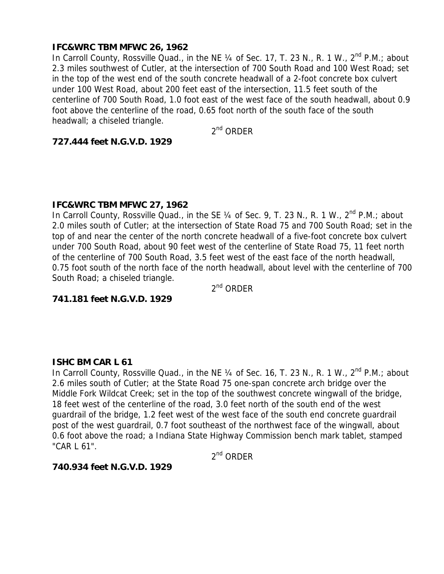## **IFC&WRC TBM MFWC 26, 1962**

In Carroll County, Rossville Quad., in the NE 1/4 of Sec. 17, T. 23 N., R. 1 W., 2<sup>nd</sup> P.M.; about 2.3 miles southwest of Cutler, at the intersection of 700 South Road and 100 West Road; set in the top of the west end of the south concrete headwall of a 2-foot concrete box culvert under 100 West Road, about 200 feet east of the intersection, 11.5 feet south of the centerline of 700 South Road, 1.0 foot east of the west face of the south headwall, about 0.9 foot above the centerline of the road, 0.65 foot north of the south face of the south headwall; a chiseled triangle.

 $2<sup>nd</sup>$  ORDER

# **727.444 feet N.G.V.D. 1929**

#### **IFC&WRC TBM MFWC 27, 1962**

In Carroll County, Rossville Quad., in the SE  $\frac{1}{4}$  of Sec. 9, T. 23 N., R. 1 W., 2<sup>nd</sup> P.M.; about 2.0 miles south of Cutler; at the intersection of State Road 75 and 700 South Road; set in the top of and near the center of the north concrete headwall of a five-foot concrete box culvert under 700 South Road, about 90 feet west of the centerline of State Road 75, 11 feet north of the centerline of 700 South Road, 3.5 feet west of the east face of the north headwall, 0.75 foot south of the north face of the north headwall, about level with the centerline of 700 South Road; a chiseled triangle.

2<sup>nd</sup> ORDER

## **741.181 feet N.G.V.D. 1929**

## **ISHC BM CAR L 61**

In Carroll County, Rossville Quad., in the NE  $\frac{1}{4}$  of Sec. 16, T. 23 N., R. 1 W., 2<sup>nd</sup> P.M.; about 2.6 miles south of Cutler; at the State Road 75 one-span concrete arch bridge over the Middle Fork Wildcat Creek; set in the top of the southwest concrete wingwall of the bridge, 18 feet west of the centerline of the road, 3.0 feet north of the south end of the west guardrail of the bridge, 1.2 feet west of the west face of the south end concrete guardrail post of the west guardrail, 0.7 foot southeast of the northwest face of the wingwall, about 0.6 foot above the road; a Indiana State Highway Commission bench mark tablet, stamped "CAR L 61".

 $2^{nd}$  ORDER

## **740.934 feet N.G.V.D. 1929**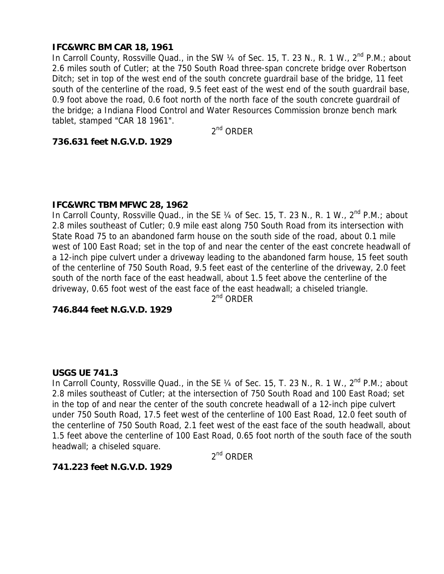## **IFC&WRC BM CAR 18, 1961**

In Carroll County, Rossville Quad., in the SW 1/4 of Sec. 15, T. 23 N., R. 1 W., 2<sup>nd</sup> P.M.; about 2.6 miles south of Cutler; at the 750 South Road three-span concrete bridge over Robertson Ditch; set in top of the west end of the south concrete guardrail base of the bridge, 11 feet south of the centerline of the road, 9.5 feet east of the west end of the south guardrail base, 0.9 foot above the road, 0.6 foot north of the north face of the south concrete guardrail of the bridge; a Indiana Flood Control and Water Resources Commission bronze bench mark tablet, stamped "CAR 18 1961".

 $2<sup>nd</sup>$  ORDER

#### **736.631 feet N.G.V.D. 1929**

#### **IFC&WRC TBM MFWC 28, 1962**

In Carroll County, Rossville Quad., in the SE  $\frac{1}{4}$  of Sec. 15, T. 23 N., R. 1 W.,  $2^{nd}$  P.M.; about 2.8 miles southeast of Cutler; 0.9 mile east along 750 South Road from its intersection with State Road 75 to an abandoned farm house on the south side of the road, about 0.1 mile west of 100 East Road; set in the top of and near the center of the east concrete headwall of a 12-inch pipe culvert under a driveway leading to the abandoned farm house, 15 feet south of the centerline of 750 South Road, 9.5 feet east of the centerline of the driveway, 2.0 feet south of the north face of the east headwall, about 1.5 feet above the centerline of the driveway, 0.65 foot west of the east face of the east headwall; a chiseled triangle.

2<sup>nd</sup> ORDER

#### **746.844 feet N.G.V.D. 1929**

#### **USGS UE 741.3**

In Carroll County, Rossville Quad., in the SE 1/4 of Sec. 15, T. 23 N., R. 1 W., 2<sup>nd</sup> P.M.; about 2.8 miles southeast of Cutler; at the intersection of 750 South Road and 100 East Road; set in the top of and near the center of the south concrete headwall of a 12-inch pipe culvert under 750 South Road, 17.5 feet west of the centerline of 100 East Road, 12.0 feet south of the centerline of 750 South Road, 2.1 feet west of the east face of the south headwall, about 1.5 feet above the centerline of 100 East Road, 0.65 foot north of the south face of the south headwall; a chiseled square.

 $2^{nd}$  ORDER

#### **741.223 feet N.G.V.D. 1929**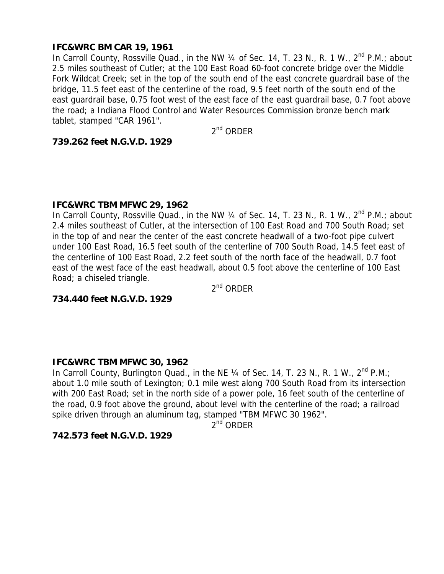## **IFC&WRC BM CAR 19, 1961**

In Carroll County, Rossville Quad., in the NW 1/4 of Sec. 14, T. 23 N., R. 1 W., 2<sup>nd</sup> P.M.; about 2.5 miles southeast of Cutler; at the 100 East Road 60-foot concrete bridge over the Middle Fork Wildcat Creek; set in the top of the south end of the east concrete guardrail base of the bridge, 11.5 feet east of the centerline of the road, 9.5 feet north of the south end of the east guardrail base, 0.75 foot west of the east face of the east guardrail base, 0.7 foot above the road; a Indiana Flood Control and Water Resources Commission bronze bench mark tablet, stamped "CAR 1961".

 $2<sup>nd</sup>$  ORDER

#### **739.262 feet N.G.V.D. 1929**

#### **IFC&WRC TBM MFWC 29, 1962**

In Carroll County, Rossville Quad., in the NW  $\frac{1}{4}$  of Sec. 14, T. 23 N., R. 1 W.,  $2^{nd}$  P.M.; about 2.4 miles southeast of Cutler, at the intersection of 100 East Road and 700 South Road; set in the top of and near the center of the east concrete headwall of a two-foot pipe culvert under 100 East Road, 16.5 feet south of the centerline of 700 South Road, 14.5 feet east of the centerline of 100 East Road, 2.2 feet south of the north face of the headwall, 0.7 foot east of the west face of the east headwall, about 0.5 foot above the centerline of 100 East Road; a chiseled triangle.

2<sup>nd</sup> ORDER

## **734.440 feet N.G.V.D. 1929**

## **IFC&WRC TBM MFWC 30, 1962**

In Carroll County, Burlington Quad., in the NE  $\frac{1}{4}$  of Sec. 14, T. 23 N., R. 1 W., 2<sup>nd</sup> P.M.; about 1.0 mile south of Lexington; 0.1 mile west along 700 South Road from its intersection with 200 East Road; set in the north side of a power pole, 16 feet south of the centerline of the road, 0.9 foot above the ground, about level with the centerline of the road; a railroad spike driven through an aluminum tag, stamped "TBM MFWC 30 1962".

2nd ORDER

## **742.573 feet N.G.V.D. 1929**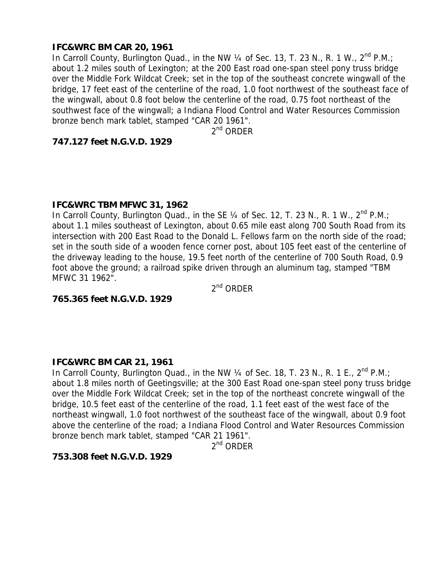## **IFC&WRC BM CAR 20, 1961**

In Carroll County, Burlington Quad., in the NW  $\frac{1}{4}$  of Sec. 13, T. 23 N., R. 1 W., 2<sup>nd</sup> P.M.; about 1.2 miles south of Lexington; at the 200 East road one-span steel pony truss bridge over the Middle Fork Wildcat Creek; set in the top of the southeast concrete wingwall of the bridge, 17 feet east of the centerline of the road, 1.0 foot northwest of the southeast face of the wingwall, about 0.8 foot below the centerline of the road, 0.75 foot northeast of the southwest face of the wingwall; a Indiana Flood Control and Water Resources Commission bronze bench mark tablet, stamped "CAR 20 1961".

 $2^{nd}$  ORDER

# **747.127 feet N.G.V.D. 1929**

#### **IFC&WRC TBM MFWC 31, 1962**

In Carroll County, Burlington Quad., in the SE  $\frac{1}{4}$  of Sec. 12, T. 23 N., R. 1 W., 2<sup>nd</sup> P.M.; about 1.1 miles southeast of Lexington, about 0.65 mile east along 700 South Road from its intersection with 200 East Road to the Donald L. Fellows farm on the north side of the road; set in the south side of a wooden fence corner post, about 105 feet east of the centerline of the driveway leading to the house, 19.5 feet north of the centerline of 700 South Road, 0.9 foot above the ground; a railroad spike driven through an aluminum tag, stamped "TBM MFWC 31 1962".

2nd ORDER

**765.365 feet N.G.V.D. 1929** 

## **IFC&WRC BM CAR 21, 1961**

In Carroll County, Burlington Quad., in the NW  $\frac{1}{4}$  of Sec. 18, T. 23 N., R. 1 E., 2<sup>nd</sup> P.M.; about 1.8 miles north of Geetingsville; at the 300 East Road one-span steel pony truss bridge over the Middle Fork Wildcat Creek; set in the top of the northeast concrete wingwall of the bridge, 10.5 feet east of the centerline of the road, 1.1 feet east of the west face of the northeast wingwall, 1.0 foot northwest of the southeast face of the wingwall, about 0.9 foot above the centerline of the road; a Indiana Flood Control and Water Resources Commission bronze bench mark tablet, stamped "CAR 21 1961".

2<sup>nd</sup> ORDER

## **753.308 feet N.G.V.D. 1929**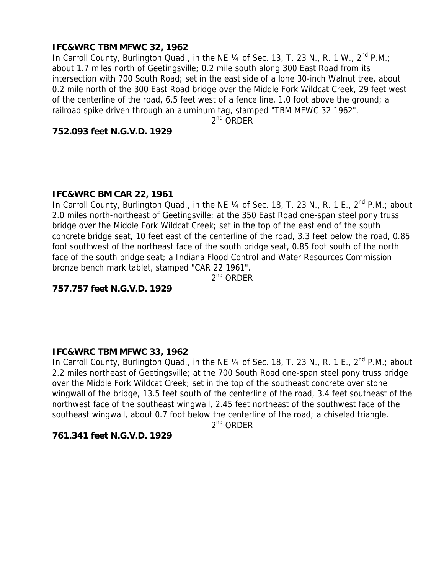# **IFC&WRC TBM MFWC 32, 1962**

In Carroll County, Burlington Quad., in the NE  $\frac{1}{4}$  of Sec. 13, T. 23 N., R. 1 W., 2<sup>nd</sup> P.M.; about 1.7 miles north of Geetingsville; 0.2 mile south along 300 East Road from its intersection with 700 South Road; set in the east side of a lone 30-inch Walnut tree, about 0.2 mile north of the 300 East Road bridge over the Middle Fork Wildcat Creek, 29 feet west of the centerline of the road, 6.5 feet west of a fence line, 1.0 foot above the ground; a railroad spike driven through an aluminum tag, stamped "TBM MFWC 32 1962".

 $2^{nd}$  ORDER

#### **752.093 feet N.G.V.D. 1929**

## **IFC&WRC BM CAR 22, 1961**

In Carroll County, Burlington Quad., in the NE 1/4 of Sec. 18, T. 23 N., R. 1 E., 2<sup>nd</sup> P.M.; about 2.0 miles north-northeast of Geetingsville; at the 350 East Road one-span steel pony truss bridge over the Middle Fork Wildcat Creek; set in the top of the east end of the south concrete bridge seat, 10 feet east of the centerline of the road, 3.3 feet below the road, 0.85 foot southwest of the northeast face of the south bridge seat, 0.85 foot south of the north face of the south bridge seat; a Indiana Flood Control and Water Resources Commission bronze bench mark tablet, stamped "CAR 22 1961".

 $2^{nd}$  ORDER

## **757.757 feet N.G.V.D. 1929**

## **IFC&WRC TBM MFWC 33, 1962**

In Carroll County, Burlington Quad., in the NE  $\frac{1}{4}$  of Sec. 18, T. 23 N., R. 1 E., 2<sup>nd</sup> P.M.; about 2.2 miles northeast of Geetingsville; at the 700 South Road one-span steel pony truss bridge over the Middle Fork Wildcat Creek; set in the top of the southeast concrete over stone wingwall of the bridge, 13.5 feet south of the centerline of the road, 3.4 feet southeast of the northwest face of the southeast wingwall, 2.45 feet northeast of the southwest face of the southeast wingwall, about 0.7 foot below the centerline of the road; a chiseled triangle.

 $2^{nd}$  ORDER

## **761.341 feet N.G.V.D. 1929**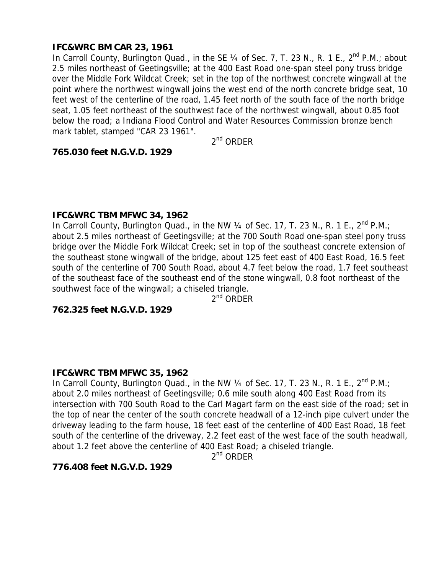# **IFC&WRC BM CAR 23, 1961**

In Carroll County, Burlington Quad., in the SE  $\frac{1}{4}$  of Sec. 7, T. 23 N., R. 1 E., 2<sup>nd</sup> P.M.; about 2.5 miles northeast of Geetingsville; at the 400 East Road one-span steel pony truss bridge over the Middle Fork Wildcat Creek; set in the top of the northwest concrete wingwall at the point where the northwest wingwall joins the west end of the north concrete bridge seat, 10 feet west of the centerline of the road, 1.45 feet north of the south face of the north bridge seat, 1.05 feet northeast of the southwest face of the northwest wingwall, about 0.85 foot below the road; a Indiana Flood Control and Water Resources Commission bronze bench mark tablet, stamped "CAR 23 1961".

2nd ORDER

#### **765.030 feet N.G.V.D. 1929**

#### **IFC&WRC TBM MFWC 34, 1962**

In Carroll County, Burlington Quad., in the NW 1/4 of Sec. 17, T. 23 N., R. 1 E., 2<sup>nd</sup> P.M.; about 2.5 miles northeast of Geetingsville; at the 700 South Road one-span steel pony truss bridge over the Middle Fork Wildcat Creek; set in top of the southeast concrete extension of the southeast stone wingwall of the bridge, about 125 feet east of 400 East Road, 16.5 feet south of the centerline of 700 South Road, about 4.7 feet below the road, 1.7 feet southeast of the southeast face of the southeast end of the stone wingwall, 0.8 foot northeast of the southwest face of the wingwall; a chiseled triangle.

2<sup>nd</sup> ORDER

# **762.325 feet N.G.V.D. 1929**

## **IFC&WRC TBM MFWC 35, 1962**

In Carroll County, Burlington Quad., in the NW 1/4 of Sec. 17, T. 23 N., R. 1 E., 2<sup>nd</sup> P.M.; about 2.0 miles northeast of Geetingsville; 0.6 mile south along 400 East Road from its intersection with 700 South Road to the Carl Magart farm on the east side of the road; set in the top of near the center of the south concrete headwall of a 12-inch pipe culvert under the driveway leading to the farm house, 18 feet east of the centerline of 400 East Road, 18 feet south of the centerline of the driveway, 2.2 feet east of the west face of the south headwall, about 1.2 feet above the centerline of 400 East Road; a chiseled triangle.

 $2^{nd}$  ORDER

## **776.408 feet N.G.V.D. 1929**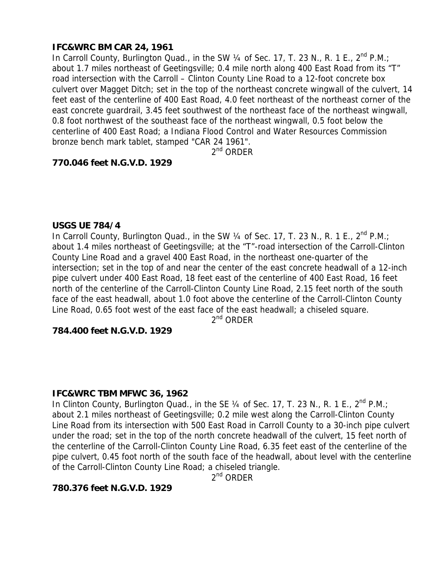# **IFC&WRC BM CAR 24, 1961**

In Carroll County, Burlington Quad., in the SW  $\frac{1}{4}$  of Sec. 17, T. 23 N., R. 1 E., 2<sup>nd</sup> P.M.; about 1.7 miles northeast of Geetingsville; 0.4 mile north along 400 East Road from its "T" road intersection with the Carroll – Clinton County Line Road to a 12-foot concrete box culvert over Magget Ditch; set in the top of the northeast concrete wingwall of the culvert, 14 feet east of the centerline of 400 East Road, 4.0 feet northeast of the northeast corner of the east concrete guardrail, 3.45 feet southwest of the northeast face of the northeast wingwall, 0.8 foot northwest of the southeast face of the northeast wingwall, 0.5 foot below the centerline of 400 East Road; a Indiana Flood Control and Water Resources Commission bronze bench mark tablet, stamped "CAR 24 1961".

 $2^{nd}$  ORDER

# **770.046 feet N.G.V.D. 1929**

#### **USGS UE 784/4**

In Carroll County, Burlington Quad., in the SW  $\frac{1}{4}$  of Sec. 17, T. 23 N., R. 1 E., 2<sup>nd</sup> P.M.; about 1.4 miles northeast of Geetingsville; at the "T"-road intersection of the Carroll-Clinton County Line Road and a gravel 400 East Road, in the northeast one-quarter of the intersection; set in the top of and near the center of the east concrete headwall of a 12-inch pipe culvert under 400 East Road, 18 feet east of the centerline of 400 East Road, 16 feet north of the centerline of the Carroll-Clinton County Line Road, 2.15 feet north of the south face of the east headwall, about 1.0 foot above the centerline of the Carroll-Clinton County Line Road, 0.65 foot west of the east face of the east headwall; a chiseled square.

2<sup>nd</sup> ORDER

## **784.400 feet N.G.V.D. 1929**

## **IFC&WRC TBM MFWC 36, 1962**

In Clinton County, Burlington Quad., in the SE 1/4 of Sec. 17, T. 23 N., R. 1 E., 2<sup>nd</sup> P.M.; about 2.1 miles northeast of Geetingsville; 0.2 mile west along the Carroll-Clinton County Line Road from its intersection with 500 East Road in Carroll County to a 30-inch pipe culvert under the road; set in the top of the north concrete headwall of the culvert, 15 feet north of the centerline of the Carroll-Clinton County Line Road, 6.35 feet east of the centerline of the pipe culvert, 0.45 foot north of the south face of the headwall, about level with the centerline of the Carroll-Clinton County Line Road; a chiseled triangle.

 $2^{nd}$  ORDFR

## **780.376 feet N.G.V.D. 1929**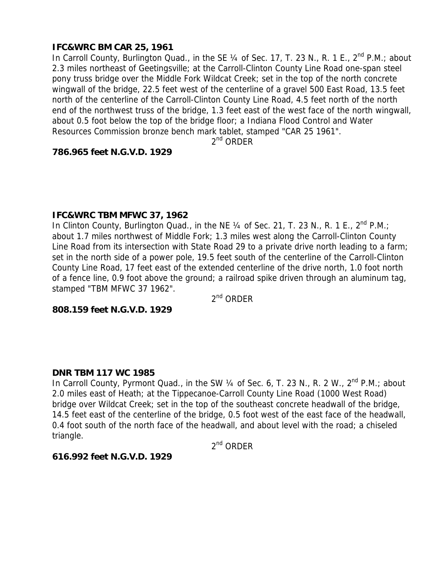# **IFC&WRC BM CAR 25, 1961**

In Carroll County, Burlington Quad., in the SE 1/4 of Sec. 17, T. 23 N., R. 1 E., 2<sup>nd</sup> P.M.; about 2.3 miles northeast of Geetingsville; at the Carroll-Clinton County Line Road one-span steel pony truss bridge over the Middle Fork Wildcat Creek; set in the top of the north concrete wingwall of the bridge, 22.5 feet west of the centerline of a gravel 500 East Road, 13.5 feet north of the centerline of the Carroll-Clinton County Line Road, 4.5 feet north of the north end of the northwest truss of the bridge, 1.3 feet east of the west face of the north wingwall, about 0.5 foot below the top of the bridge floor; a Indiana Flood Control and Water Resources Commission bronze bench mark tablet, stamped "CAR 25 1961".

 $2^{nd}$  ORDER

#### **786.965 feet N.G.V.D. 1929**

#### **IFC&WRC TBM MFWC 37, 1962**

In Clinton County, Burlington Quad., in the NE  $\frac{1}{4}$  of Sec. 21, T. 23 N., R. 1 E., 2<sup>nd</sup> P.M.; about 1.7 miles northwest of Middle Fork; 1.3 miles west along the Carroll-Clinton County Line Road from its intersection with State Road 29 to a private drive north leading to a farm; set in the north side of a power pole, 19.5 feet south of the centerline of the Carroll-Clinton County Line Road, 17 feet east of the extended centerline of the drive north, 1.0 foot north of a fence line, 0.9 foot above the ground; a railroad spike driven through an aluminum tag, stamped "TBM MFWC 37 1962".

2nd ORDER

# **808.159 feet N.G.V.D. 1929**

#### **DNR TBM 117 WC 1985**

In Carroll County, Pyrmont Quad., in the SW 1/4 of Sec. 6, T. 23 N., R. 2 W., 2<sup>nd</sup> P.M.; about 2.0 miles east of Heath; at the Tippecanoe-Carroll County Line Road (1000 West Road) bridge over Wildcat Creek; set in the top of the southeast concrete headwall of the bridge, 14.5 feet east of the centerline of the bridge, 0.5 foot west of the east face of the headwall, 0.4 foot south of the north face of the headwall, and about level with the road; a chiseled triangle.

2<sup>nd</sup> ORDER

#### **616.992 feet N.G.V.D. 1929**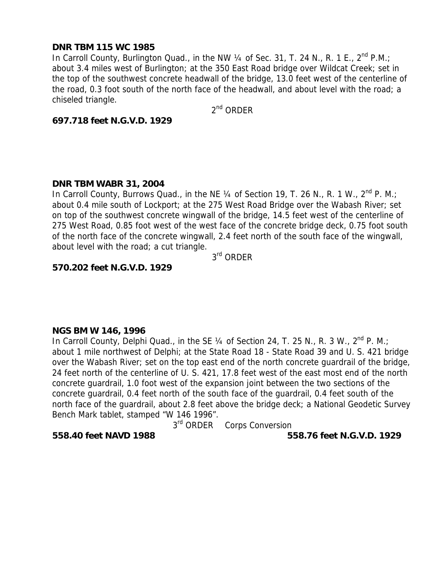## **DNR TBM 115 WC 1985**

In Carroll County, Burlington Quad., in the NW  $\frac{1}{4}$  of Sec. 31, T. 24 N., R. 1 E., 2<sup>nd</sup> P.M.; about 3.4 miles west of Burlington; at the 350 East Road bridge over Wildcat Creek; set in the top of the southwest concrete headwall of the bridge, 13.0 feet west of the centerline of the road, 0.3 foot south of the north face of the headwall, and about level with the road; a chiseled triangle.

2nd ORDER

#### **697.718 feet N.G.V.D. 1929**

#### **DNR TBM WABR 31, 2004**

In Carroll County, Burrows Quad., in the NE 1/4 of Section 19, T. 26 N., R. 1 W., 2<sup>nd</sup> P. M.; about 0.4 mile south of Lockport; at the 275 West Road Bridge over the Wabash River; set on top of the southwest concrete wingwall of the bridge, 14.5 feet west of the centerline of 275 West Road, 0.85 foot west of the west face of the concrete bridge deck, 0.75 foot south of the north face of the concrete wingwall, 2.4 feet north of the south face of the wingwall, about level with the road; a cut triangle.

3rd ORDER

# **570.202 feet N.G.V.D. 1929**

#### **NGS BM W 146, 1996**

In Carroll County, Delphi Quad., in the SE 1/4 of Section 24, T. 25 N., R. 3 W., 2<sup>nd</sup> P. M.; about 1 mile northwest of Delphi; at the State Road 18 - State Road 39 and U. S. 421 bridge over the Wabash River; set on the top east end of the north concrete guardrail of the bridge, 24 feet north of the centerline of U. S. 421, 17.8 feet west of the east most end of the north concrete guardrail, 1.0 foot west of the expansion joint between the two sections of the concrete guardrail, 0.4 feet north of the south face of the guardrail, 0.4 feet south of the north face of the guardrail, about 2.8 feet above the bridge deck; a National Geodetic Survey Bench Mark tablet, stamped "W 146 1996".

3<sup>rd</sup> ORDER Corps Conversion

**558.40 feet NAVD 1988 558.76 feet N.G.V.D. 1929**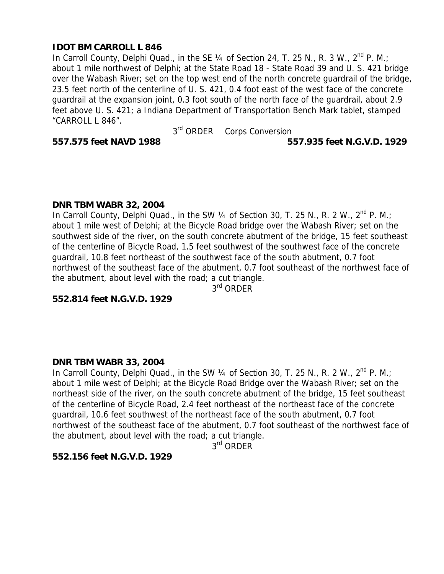# **IDOT BM CARROLL L 846**

In Carroll County, Delphi Quad., in the SE  $\frac{1}{4}$  of Section 24, T. 25 N., R. 3 W., 2<sup>nd</sup> P. M.; about 1 mile northwest of Delphi; at the State Road 18 - State Road 39 and U. S. 421 bridge over the Wabash River; set on the top west end of the north concrete guardrail of the bridge, 23.5 feet north of the centerline of U. S. 421, 0.4 foot east of the west face of the concrete guardrail at the expansion joint, 0.3 foot south of the north face of the guardrail, about 2.9 feet above U. S. 421; a Indiana Department of Transportation Bench Mark tablet, stamped "CARROLL L 846".

3rd ORDER Corps Conversion

# **557.575 feet NAVD 1988 557.935 feet N.G.V.D. 1929**

## **DNR TBM WABR 32, 2004**

In Carroll County, Delphi Quad., in the SW  $\frac{1}{4}$  of Section 30, T. 25 N., R. 2 W., 2<sup>nd</sup> P. M.; about 1 mile west of Delphi; at the Bicycle Road bridge over the Wabash River; set on the southwest side of the river, on the south concrete abutment of the bridge, 15 feet southeast of the centerline of Bicycle Road, 1.5 feet southwest of the southwest face of the concrete guardrail, 10.8 feet northeast of the southwest face of the south abutment, 0.7 foot northwest of the southeast face of the abutment, 0.7 foot southeast of the northwest face of the abutment, about level with the road; a cut triangle.

3<sup>rd</sup> ORDER

**552.814 feet N.G.V.D. 1929** 

## **DNR TBM WABR 33, 2004**

In Carroll County, Delphi Quad., in the SW  $\frac{1}{4}$  of Section 30, T. 25 N., R. 2 W., 2<sup>nd</sup> P. M.; about 1 mile west of Delphi; at the Bicycle Road Bridge over the Wabash River; set on the northeast side of the river, on the south concrete abutment of the bridge, 15 feet southeast of the centerline of Bicycle Road, 2.4 feet northeast of the northeast face of the concrete guardrail, 10.6 feet southwest of the northeast face of the south abutment, 0.7 foot northwest of the southeast face of the abutment, 0.7 foot southeast of the northwest face of the abutment, about level with the road; a cut triangle.

3<sup>rd</sup> ORDER

## **552.156 feet N.G.V.D. 1929**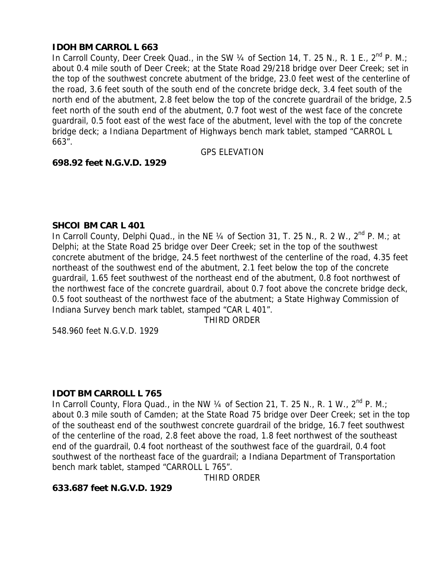# **IDOH BM CARROL L 663**

In Carroll County, Deer Creek Quad., in the SW  $\frac{1}{4}$  of Section 14, T. 25 N., R. 1 E., 2<sup>nd</sup> P. M.; about 0.4 mile south of Deer Creek; at the State Road 29/218 bridge over Deer Creek; set in the top of the southwest concrete abutment of the bridge, 23.0 feet west of the centerline of the road, 3.6 feet south of the south end of the concrete bridge deck, 3.4 feet south of the north end of the abutment, 2.8 feet below the top of the concrete guardrail of the bridge, 2.5 feet north of the south end of the abutment, 0.7 foot west of the west face of the concrete guardrail, 0.5 foot east of the west face of the abutment, level with the top of the concrete bridge deck; a Indiana Department of Highways bench mark tablet, stamped "CARROL L 663".

GPS ELEVATION

# **698.92 feet N.G.V.D. 1929**

## **SHCOI BM CAR L 401**

In Carroll County, Delphi Quad., in the NE  $\frac{1}{4}$  of Section 31, T. 25 N., R. 2 W.,  $2<sup>nd</sup>$  P. M.; at Delphi; at the State Road 25 bridge over Deer Creek; set in the top of the southwest concrete abutment of the bridge, 24.5 feet northwest of the centerline of the road, 4.35 feet northeast of the southwest end of the abutment, 2.1 feet below the top of the concrete guardrail, 1.65 feet southwest of the northeast end of the abutment, 0.8 foot northwest of the northwest face of the concrete guardrail, about 0.7 foot above the concrete bridge deck, 0.5 foot southeast of the northwest face of the abutment; a State Highway Commission of Indiana Survey bench mark tablet, stamped "CAR L 401".

THIRD ORDER

548.960 feet N.G.V.D. 1929

## **IDOT BM CARROLL L 765**

In Carroll County, Flora Quad., in the NW 1/4 of Section 21, T. 25 N., R. 1 W., 2<sup>nd</sup> P. M.: about 0.3 mile south of Camden; at the State Road 75 bridge over Deer Creek; set in the top of the southeast end of the southwest concrete guardrail of the bridge, 16.7 feet southwest of the centerline of the road, 2.8 feet above the road, 1.8 feet northwest of the southeast end of the guardrail, 0.4 foot northeast of the southwest face of the guardrail, 0.4 foot southwest of the northeast face of the guardrail; a Indiana Department of Transportation bench mark tablet, stamped "CARROLL L 765".

THIRD ORDER

## **633.687 feet N.G.V.D. 1929**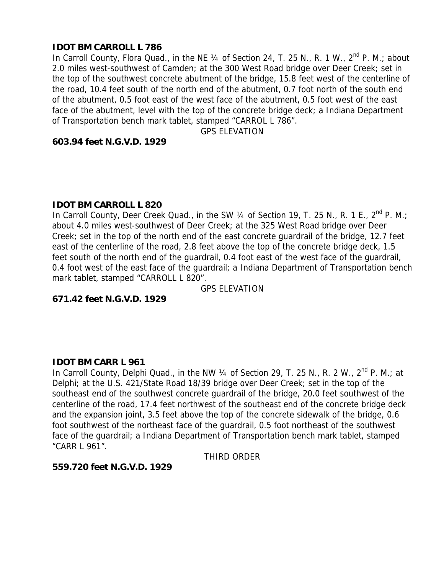## **IDOT BM CARROLL L 786**

In Carroll County, Flora Quad., in the NE 1/4 of Section 24, T. 25 N., R. 1 W., 2<sup>nd</sup> P. M.; about 2.0 miles west-southwest of Camden; at the 300 West Road bridge over Deer Creek; set in the top of the southwest concrete abutment of the bridge, 15.8 feet west of the centerline of the road, 10.4 feet south of the north end of the abutment, 0.7 foot north of the south end of the abutment, 0.5 foot east of the west face of the abutment, 0.5 foot west of the east face of the abutment, level with the top of the concrete bridge deck; a Indiana Department of Transportation bench mark tablet, stamped "CARROL L 786".

GPS ELEVATION

#### **603.94 feet N.G.V.D. 1929**

#### **IDOT BM CARROLL L 820**

In Carroll County, Deer Creek Quad., in the SW  $\frac{1}{4}$  of Section 19, T. 25 N., R. 1 E., 2<sup>nd</sup> P. M.; about 4.0 miles west-southwest of Deer Creek; at the 325 West Road bridge over Deer Creek; set in the top of the north end of the east concrete guardrail of the bridge, 12.7 feet east of the centerline of the road, 2.8 feet above the top of the concrete bridge deck, 1.5 feet south of the north end of the guardrail, 0.4 foot east of the west face of the guardrail, 0.4 foot west of the east face of the quardrail; a Indiana Department of Transportation bench mark tablet, stamped "CARROLL L 820".

GPS ELEVATION

**671.42 feet N.G.V.D. 1929** 

## **IDOT BM CARR L 961**

In Carroll County, Delphi Quad., in the NW  $\frac{1}{4}$  of Section 29, T. 25 N., R. 2 W.,  $2<sup>nd</sup>$  P. M.; at Delphi; at the U.S. 421/State Road 18/39 bridge over Deer Creek; set in the top of the southeast end of the southwest concrete guardrail of the bridge, 20.0 feet southwest of the centerline of the road, 17.4 feet northwest of the southeast end of the concrete bridge deck and the expansion joint, 3.5 feet above the top of the concrete sidewalk of the bridge, 0.6 foot southwest of the northeast face of the guardrail, 0.5 foot northeast of the southwest face of the guardrail; a Indiana Department of Transportation bench mark tablet, stamped "CARR L 961".

THIRD ORDER

#### **559.720 feet N.G.V.D. 1929**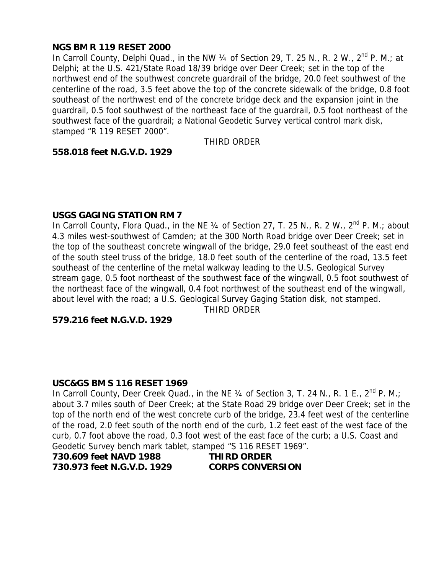# **NGS BM R 119 RESET 2000**

In Carroll County, Delphi Quad., in the NW  $\frac{1}{4}$  of Section 29, T. 25 N., R. 2 W.,  $2<sup>nd</sup>$  P. M.; at Delphi; at the U.S. 421/State Road 18/39 bridge over Deer Creek; set in the top of the northwest end of the southwest concrete guardrail of the bridge, 20.0 feet southwest of the centerline of the road, 3.5 feet above the top of the concrete sidewalk of the bridge, 0.8 foot southeast of the northwest end of the concrete bridge deck and the expansion joint in the guardrail, 0.5 foot southwest of the northeast face of the guardrail, 0.5 foot northeast of the southwest face of the guardrail; a National Geodetic Survey vertical control mark disk, stamped "R 119 RESET 2000".

THIRD ORDER

#### **558.018 feet N.G.V.D. 1929**

#### **USGS GAGING STATION RM 7**

In Carroll County, Flora Quad., in the NE 1/4 of Section 27, T. 25 N., R. 2 W., 2<sup>nd</sup> P. M.; about 4.3 miles west-southwest of Camden; at the 300 North Road bridge over Deer Creek; set in the top of the southeast concrete wingwall of the bridge, 29.0 feet southeast of the east end of the south steel truss of the bridge, 18.0 feet south of the centerline of the road, 13.5 feet southeast of the centerline of the metal walkway leading to the U.S. Geological Survey stream gage, 0.5 foot northeast of the southwest face of the wingwall, 0.5 foot southwest of the northeast face of the wingwall, 0.4 foot northwest of the southeast end of the wingwall, about level with the road; a U.S. Geological Survey Gaging Station disk, not stamped.

THIRD ORDER

#### **579.216 feet N.G.V.D. 1929**

#### **USC&GS BM S 116 RESET 1969**

In Carroll County, Deer Creek Quad., in the NE  $\frac{1}{4}$  of Section 3, T. 24 N., R. 1 E., 2<sup>nd</sup> P. M.; about 3.7 miles south of Deer Creek; at the State Road 29 bridge over Deer Creek; set in the top of the north end of the west concrete curb of the bridge, 23.4 feet west of the centerline of the road, 2.0 feet south of the north end of the curb, 1.2 feet east of the west face of the curb, 0.7 foot above the road, 0.3 foot west of the east face of the curb; a U.S. Coast and Geodetic Survey bench mark tablet, stamped "S 116 RESET 1969".

| 730.609 feet NAVD 1988     | <b>THIRD ORDER</b>      |
|----------------------------|-------------------------|
| 730.973 feet N.G.V.D. 1929 | <b>CORPS CONVERSION</b> |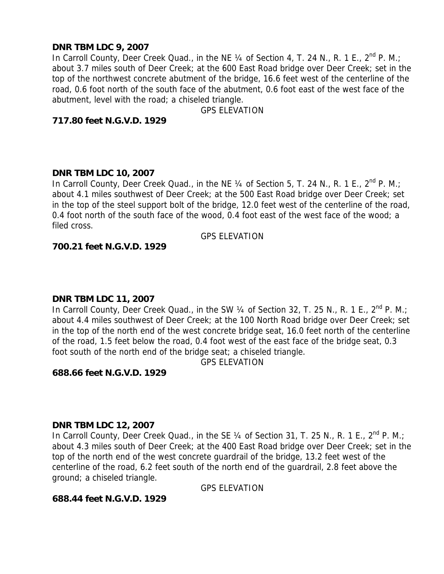## **DNR TBM LDC 9, 2007**

In Carroll County, Deer Creek Quad., in the NE  $\frac{1}{4}$  of Section 4, T. 24 N., R. 1 E., 2<sup>nd</sup> P. M.; about 3.7 miles south of Deer Creek; at the 600 East Road bridge over Deer Creek; set in the top of the northwest concrete abutment of the bridge, 16.6 feet west of the centerline of the road, 0.6 foot north of the south face of the abutment, 0.6 foot east of the west face of the abutment, level with the road; a chiseled triangle.

GPS ELEVATION

# **717.80 feet N.G.V.D. 1929**

## **DNR TBM LDC 10, 2007**

In Carroll County, Deer Creek Quad., in the NE  $\frac{1}{4}$  of Section 5, T. 24 N., R. 1 E., 2<sup>nd</sup> P. M.; about 4.1 miles southwest of Deer Creek; at the 500 East Road bridge over Deer Creek; set in the top of the steel support bolt of the bridge, 12.0 feet west of the centerline of the road, 0.4 foot north of the south face of the wood, 0.4 foot east of the west face of the wood; a filed cross.

GPS ELEVATION

## **700.21 feet N.G.V.D. 1929**

## **DNR TBM LDC 11, 2007**

In Carroll County, Deer Creek Quad., in the SW  $\frac{1}{4}$  of Section 32, T. 25 N., R. 1 E., 2<sup>nd</sup> P. M.; about 4.4 miles southwest of Deer Creek; at the 100 North Road bridge over Deer Creek; set in the top of the north end of the west concrete bridge seat, 16.0 feet north of the centerline of the road, 1.5 feet below the road, 0.4 foot west of the east face of the bridge seat, 0.3 foot south of the north end of the bridge seat; a chiseled triangle.

GPS ELEVATION

## **688.66 feet N.G.V.D. 1929**

#### **DNR TBM LDC 12, 2007**

In Carroll County, Deer Creek Quad., in the SE  $\frac{1}{4}$  of Section 31, T. 25 N., R. 1 E., 2<sup>nd</sup> P. M.; about 4.3 miles south of Deer Creek; at the 400 East Road bridge over Deer Creek; set in the top of the north end of the west concrete guardrail of the bridge, 13.2 feet west of the centerline of the road, 6.2 feet south of the north end of the guardrail, 2.8 feet above the ground; a chiseled triangle.

GPS ELEVATION

## **688.44 feet N.G.V.D. 1929**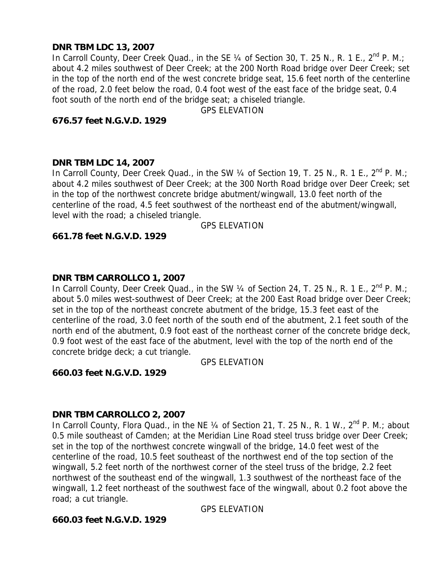# **DNR TBM LDC 13, 2007**

In Carroll County, Deer Creek Quad., in the SE  $\frac{1}{4}$  of Section 30, T. 25 N., R. 1 E., 2<sup>nd</sup> P. M.; about 4.2 miles southwest of Deer Creek; at the 200 North Road bridge over Deer Creek; set in the top of the north end of the west concrete bridge seat, 15.6 feet north of the centerline of the road, 2.0 feet below the road, 0.4 foot west of the east face of the bridge seat, 0.4 foot south of the north end of the bridge seat; a chiseled triangle.

GPS ELEVATION

## **676.57 feet N.G.V.D. 1929**

## **DNR TBM LDC 14, 2007**

In Carroll County, Deer Creek Quad., in the SW  $\frac{1}{4}$  of Section 19, T. 25 N., R. 1 E., 2<sup>nd</sup> P. M.; about 4.2 miles southwest of Deer Creek; at the 300 North Road bridge over Deer Creek; set in the top of the northwest concrete bridge abutment/wingwall, 13.0 feet north of the centerline of the road, 4.5 feet southwest of the northeast end of the abutment/wingwall, level with the road; a chiseled triangle.

GPS ELEVATION

#### **661.78 feet N.G.V.D. 1929**

#### **DNR TBM CARROLLCO 1, 2007**

In Carroll County, Deer Creek Quad., in the SW  $\frac{1}{4}$  of Section 24, T. 25 N., R. 1 E., 2<sup>nd</sup> P. M.; about 5.0 miles west-southwest of Deer Creek; at the 200 East Road bridge over Deer Creek; set in the top of the northeast concrete abutment of the bridge, 15.3 feet east of the centerline of the road, 3.0 feet north of the south end of the abutment, 2.1 feet south of the north end of the abutment, 0.9 foot east of the northeast corner of the concrete bridge deck, 0.9 foot west of the east face of the abutment, level with the top of the north end of the concrete bridge deck; a cut triangle.

GPS ELEVATION

**660.03 feet N.G.V.D. 1929** 

#### **DNR TBM CARROLLCO 2, 2007**

In Carroll County, Flora Quad., in the NE 1/4 of Section 21, T. 25 N., R. 1 W., 2<sup>nd</sup> P. M.; about 0.5 mile southeast of Camden; at the Meridian Line Road steel truss bridge over Deer Creek; set in the top of the northwest concrete wingwall of the bridge, 14.0 feet west of the centerline of the road, 10.5 feet southeast of the northwest end of the top section of the wingwall, 5.2 feet north of the northwest corner of the steel truss of the bridge, 2.2 feet northwest of the southeast end of the wingwall, 1.3 southwest of the northeast face of the wingwall, 1.2 feet northeast of the southwest face of the wingwall, about 0.2 foot above the road; a cut triangle.

GPS ELEVATION

## **660.03 feet N.G.V.D. 1929**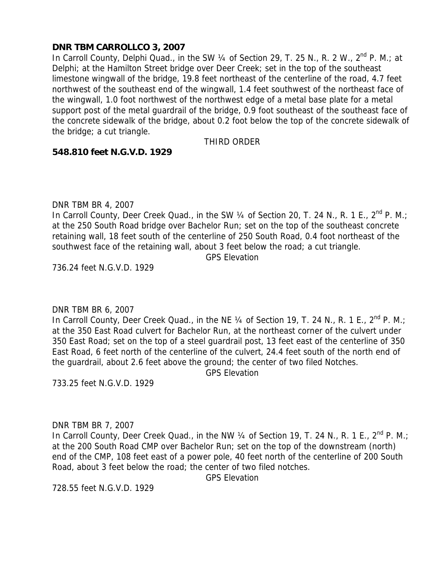## **DNR TBM CARROLLCO 3, 2007**

In Carroll County, Delphi Quad., in the SW 1/4 of Section 29, T. 25 N., R. 2 W., 2<sup>nd</sup> P. M.; at Delphi; at the Hamilton Street bridge over Deer Creek; set in the top of the southeast limestone wingwall of the bridge, 19.8 feet northeast of the centerline of the road, 4.7 feet northwest of the southeast end of the wingwall, 1.4 feet southwest of the northeast face of the wingwall, 1.0 foot northwest of the northwest edge of a metal base plate for a metal support post of the metal guardrail of the bridge, 0.9 foot southeast of the southeast face of the concrete sidewalk of the bridge, about 0.2 foot below the top of the concrete sidewalk of the bridge; a cut triangle.

## THIRD ORDER

#### **548.810 feet N.G.V.D. 1929**

DNR TBM BR 4, 2007

In Carroll County, Deer Creek Quad., in the SW  $\frac{1}{4}$  of Section 20, T. 24 N., R. 1 E., 2<sup>nd</sup> P. M.; at the 250 South Road bridge over Bachelor Run; set on the top of the southeast concrete retaining wall, 18 feet south of the centerline of 250 South Road, 0.4 foot northeast of the southwest face of the retaining wall, about 3 feet below the road; a cut triangle.

GPS Elevation

736.24 feet N.G.V.D. 1929

## DNR TBM BR 6, 2007

In Carroll County, Deer Creek Quad., in the NE 1/4 of Section 19, T. 24 N., R. 1 E., 2<sup>nd</sup> P. M.; at the 350 East Road culvert for Bachelor Run, at the northeast corner of the culvert under 350 East Road; set on the top of a steel guardrail post, 13 feet east of the centerline of 350 East Road, 6 feet north of the centerline of the culvert, 24.4 feet south of the north end of the guardrail, about 2.6 feet above the ground; the center of two filed Notches.

GPS Elevation

733.25 feet N.G.V.D. 1929

#### DNR TBM BR 7, 2007

In Carroll County, Deer Creek Quad., in the NW  $\frac{1}{4}$  of Section 19, T. 24 N., R. 1 E., 2<sup>nd</sup> P. M.; at the 200 South Road CMP over Bachelor Run; set on the top of the downstream (north) end of the CMP, 108 feet east of a power pole, 40 feet north of the centerline of 200 South Road, about 3 feet below the road; the center of two filed notches.

GPS Elevation

728.55 feet N.G.V.D. 1929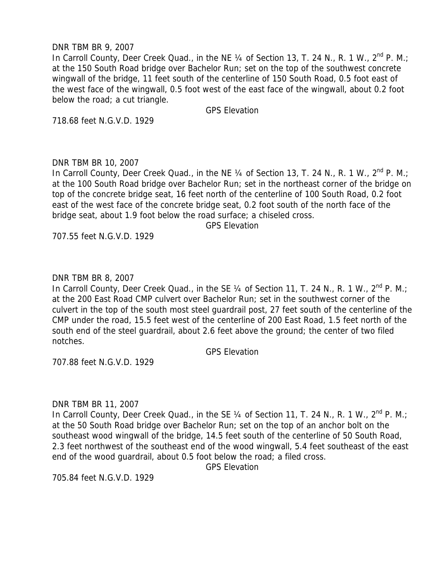#### DNR TBM BR 9, 2007

In Carroll County, Deer Creek Quad., in the NE  $\frac{1}{4}$  of Section 13, T. 24 N., R. 1 W., 2<sup>nd</sup> P. M.; at the 150 South Road bridge over Bachelor Run; set on the top of the southwest concrete wingwall of the bridge, 11 feet south of the centerline of 150 South Road, 0.5 foot east of the west face of the wingwall, 0.5 foot west of the east face of the wingwall, about 0.2 foot below the road; a cut triangle.

GPS Elevation

718.68 feet N.G.V.D. 1929

#### DNR TBM BR 10, 2007

In Carroll County, Deer Creek Quad., in the NE 1/4 of Section 13, T. 24 N., R. 1 W., 2<sup>nd</sup> P. M.; at the 100 South Road bridge over Bachelor Run; set in the northeast corner of the bridge on top of the concrete bridge seat, 16 feet north of the centerline of 100 South Road, 0.2 foot east of the west face of the concrete bridge seat, 0.2 foot south of the north face of the bridge seat, about 1.9 foot below the road surface; a chiseled cross.

GPS Elevation

707.55 feet N.G.V.D. 1929

#### DNR TBM BR 8, 2007

In Carroll County, Deer Creek Quad., in the SE 1/4 of Section 11, T. 24 N., R. 1 W., 2<sup>nd</sup> P. M.; at the 200 East Road CMP culvert over Bachelor Run; set in the southwest corner of the culvert in the top of the south most steel guardrail post, 27 feet south of the centerline of the CMP under the road, 15.5 feet west of the centerline of 200 East Road, 1.5 feet north of the south end of the steel guardrail, about 2.6 feet above the ground; the center of two filed notches.

GPS Elevation

707.88 feet N.G.V.D. 1929

DNR TBM BR 11, 2007

In Carroll County, Deer Creek Quad., in the SE 1/4 of Section 11, T. 24 N., R. 1 W., 2<sup>nd</sup> P. M.; at the 50 South Road bridge over Bachelor Run; set on the top of an anchor bolt on the southeast wood wingwall of the bridge, 14.5 feet south of the centerline of 50 South Road, 2.3 feet northwest of the southeast end of the wood wingwall, 5.4 feet southeast of the east end of the wood guardrail, about 0.5 foot below the road; a filed cross.

GPS Elevation

705.84 feet N.G.V.D. 1929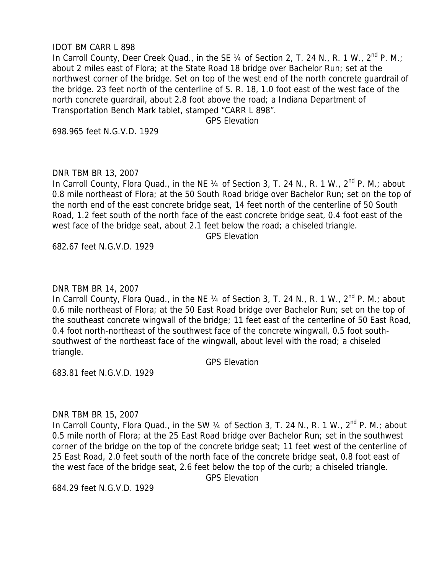#### IDOT BM CARR L 898

In Carroll County, Deer Creek Quad., in the SE  $\frac{1}{4}$  of Section 2, T. 24 N., R. 1 W., 2<sup>nd</sup> P. M.; about 2 miles east of Flora; at the State Road 18 bridge over Bachelor Run; set at the northwest corner of the bridge. Set on top of the west end of the north concrete guardrail of the bridge. 23 feet north of the centerline of S. R. 18, 1.0 foot east of the west face of the north concrete guardrail, about 2.8 foot above the road; a Indiana Department of Transportation Bench Mark tablet, stamped "CARR L 898".

GPS Elevation

698.965 feet N.G.V.D. 1929

#### DNR TBM BR 13, 2007

In Carroll County, Flora Quad., in the NE 1/4 of Section 3, T. 24 N., R. 1 W., 2<sup>nd</sup> P. M.; about 0.8 mile northeast of Flora; at the 50 South Road bridge over Bachelor Run; set on the top of the north end of the east concrete bridge seat, 14 feet north of the centerline of 50 South Road, 1.2 feet south of the north face of the east concrete bridge seat, 0.4 foot east of the west face of the bridge seat, about 2.1 feet below the road; a chiseled triangle.

GPS Elevation

682.67 feet N.G.V.D. 1929

#### DNR TBM BR 14, 2007

In Carroll County, Flora Quad., in the NE 1/4 of Section 3, T. 24 N., R. 1 W., 2<sup>nd</sup> P. M.; about 0.6 mile northeast of Flora; at the 50 East Road bridge over Bachelor Run; set on the top of the southeast concrete wingwall of the bridge; 11 feet east of the centerline of 50 East Road, 0.4 foot north-northeast of the southwest face of the concrete wingwall, 0.5 foot southsouthwest of the northeast face of the wingwall, about level with the road; a chiseled triangle.

GPS Elevation

683.81 feet N.G.V.D. 1929

#### DNR TBM BR 15, 2007

In Carroll County, Flora Quad., in the SW 1/4 of Section 3, T. 24 N., R. 1 W., 2<sup>nd</sup> P. M.; about 0.5 mile north of Flora; at the 25 East Road bridge over Bachelor Run; set in the southwest corner of the bridge on the top of the concrete bridge seat; 11 feet west of the centerline of 25 East Road, 2.0 feet south of the north face of the concrete bridge seat, 0.8 foot east of the west face of the bridge seat, 2.6 feet below the top of the curb; a chiseled triangle. GPS Elevation

684.29 feet N.G.V.D. 1929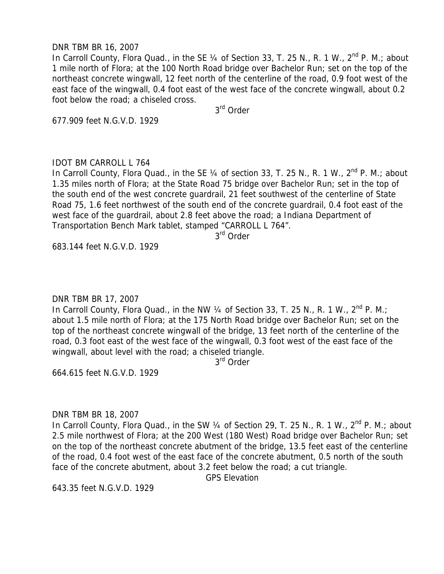#### DNR TBM BR 16, 2007

In Carroll County, Flora Quad., in the SE 1/4 of Section 33, T. 25 N., R. 1 W., 2<sup>nd</sup> P. M.; about 1 mile north of Flora; at the 100 North Road bridge over Bachelor Run; set on the top of the northeast concrete wingwall, 12 feet north of the centerline of the road, 0.9 foot west of the east face of the wingwall, 0.4 foot east of the west face of the concrete wingwall, about 0.2 foot below the road; a chiseled cross.

3rd Order

677.909 feet N.G.V.D. 1929

#### IDOT BM CARROLL L 764

In Carroll County, Flora Quad., in the SE  $\frac{1}{4}$  of section 33, T. 25 N., R. 1 W.,  $2^{nd}$  P. M.; about 1.35 miles north of Flora; at the State Road 75 bridge over Bachelor Run; set in the top of the south end of the west concrete guardrail, 21 feet southwest of the centerline of State Road 75, 1.6 feet northwest of the south end of the concrete guardrail, 0.4 foot east of the west face of the guardrail, about 2.8 feet above the road; a Indiana Department of Transportation Bench Mark tablet, stamped "CARROLL L 764".

3rd Order

683.144 feet N.G.V.D. 1929

#### DNR TBM BR 17, 2007

In Carroll County, Flora Quad., in the NW  $\frac{1}{4}$  of Section 33, T. 25 N., R. 1 W.,  $2^{nd}$  P. M.; about 1.5 mile north of Flora; at the 175 North Road bridge over Bachelor Run; set on the top of the northeast concrete wingwall of the bridge, 13 feet north of the centerline of the road, 0.3 foot east of the west face of the wingwall, 0.3 foot west of the east face of the wingwall, about level with the road; a chiseled triangle.

3rd Order

664.615 feet N.G.V.D. 1929

#### DNR TBM BR 18, 2007

In Carroll County, Flora Quad., in the SW 1/4 of Section 29, T. 25 N., R. 1 W., 2<sup>nd</sup> P. M.; about 2.5 mile northwest of Flora; at the 200 West (180 West) Road bridge over Bachelor Run; set on the top of the northeast concrete abutment of the bridge, 13.5 feet east of the centerline of the road, 0.4 foot west of the east face of the concrete abutment, 0.5 north of the south face of the concrete abutment, about 3.2 feet below the road; a cut triangle.

GPS Elevation

643.35 feet N.G.V.D. 1929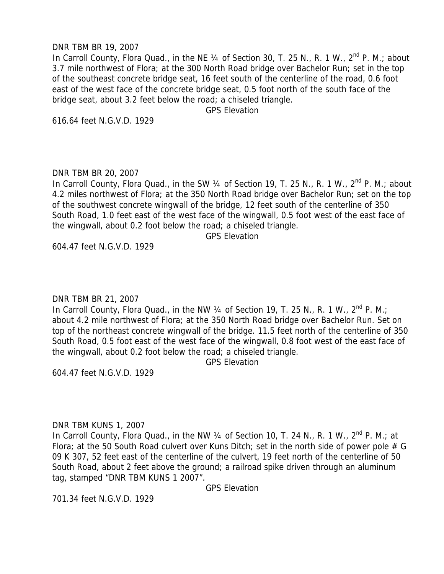#### DNR TBM BR 19, 2007

In Carroll County, Flora Quad., in the NE 1/4 of Section 30, T. 25 N., R. 1 W., 2<sup>nd</sup> P. M.; about 3.7 mile northwest of Flora; at the 300 North Road bridge over Bachelor Run; set in the top of the southeast concrete bridge seat, 16 feet south of the centerline of the road, 0.6 foot east of the west face of the concrete bridge seat, 0.5 foot north of the south face of the bridge seat, about 3.2 feet below the road; a chiseled triangle.

GPS Elevation

616.64 feet N.G.V.D. 1929

#### DNR TBM BR 20, 2007

In Carroll County, Flora Quad., in the SW 1/4 of Section 19, T. 25 N., R. 1 W., 2<sup>nd</sup> P. M.; about 4.2 miles northwest of Flora; at the 350 North Road bridge over Bachelor Run; set on the top of the southwest concrete wingwall of the bridge, 12 feet south of the centerline of 350 South Road, 1.0 feet east of the west face of the wingwall, 0.5 foot west of the east face of the wingwall, about 0.2 foot below the road; a chiseled triangle.

GPS Elevation

604.47 feet N.G.V.D. 1929

## DNR TBM BR 21, 2007

In Carroll County, Flora Quad., in the NW  $\frac{1}{4}$  of Section 19, T. 25 N., R. 1 W.,  $2^{nd}$  P. M.; about 4.2 mile northwest of Flora; at the 350 North Road bridge over Bachelor Run. Set on top of the northeast concrete wingwall of the bridge. 11.5 feet north of the centerline of 350 South Road, 0.5 foot east of the west face of the wingwall, 0.8 foot west of the east face of the wingwall, about 0.2 foot below the road; a chiseled triangle.

GPS Elevation

604.47 feet N.G.V.D. 1929

#### DNR TBM KUNS 1, 2007

In Carroll County, Flora Quad., in the NW 1/4 of Section 10, T. 24 N., R. 1 W., 2<sup>nd</sup> P. M.; at Flora; at the 50 South Road culvert over Kuns Ditch; set in the north side of power pole  $# G$ 09 K 307, 52 feet east of the centerline of the culvert, 19 feet north of the centerline of 50 South Road, about 2 feet above the ground; a railroad spike driven through an aluminum tag, stamped "DNR TBM KUNS 1 2007".

GPS Elevation

701.34 feet N.G.V.D. 1929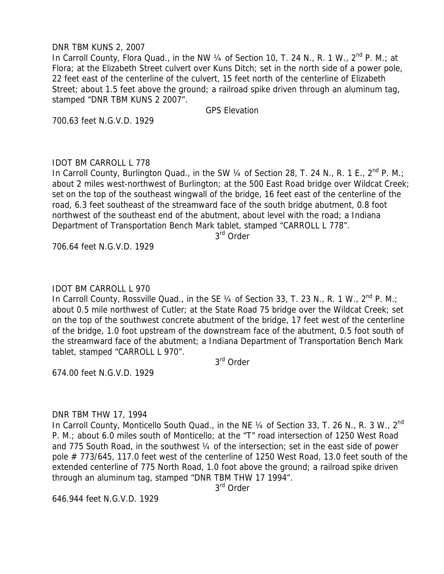#### DNR TBM KUNS 2, 2007

In Carroll County, Flora Quad., in the NW 1/4 of Section 10, T. 24 N., R. 1 W., 2<sup>nd</sup> P. M.; at Flora; at the Elizabeth Street culvert over Kuns Ditch; set in the north side of a power pole, 22 feet east of the centerline of the culvert, 15 feet north of the centerline of Elizabeth Street; about 1.5 feet above the ground; a railroad spike driven through an aluminum tag, stamped "DNR TBM KUNS 2 2007".

GPS Elevation

700.63 feet N.G.V.D. 1929

## IDOT BM CARROLL L 778

In Carroll County, Burlington Quad., in the SW  $\frac{1}{4}$  of Section 28, T. 24 N., R. 1 E., 2<sup>nd</sup> P. M.; about 2 miles west-northwest of Burlington; at the 500 East Road bridge over Wildcat Creek; set on the top of the southeast wingwall of the bridge, 16 feet east of the centerline of the road, 6.3 feet southeast of the streamward face of the south bridge abutment, 0.8 foot northwest of the southeast end of the abutment, about level with the road; a Indiana Department of Transportation Bench Mark tablet, stamped "CARROLL L 778".

3rd Order

706.64 feet N.G.V.D. 1929

#### IDOT BM CARROLL L 970

In Carroll County, Rossville Quad., in the SE 1/4 of Section 33, T. 23 N., R. 1 W., 2<sup>nd</sup> P. M.; about 0.5 mile northwest of Cutler; at the State Road 75 bridge over the Wildcat Creek; set on the top of the southwest concrete abutment of the bridge, 17 feet west of the centerline of the bridge, 1.0 foot upstream of the downstream face of the abutment, 0.5 foot south of the streamward face of the abutment; a Indiana Department of Transportation Bench Mark tablet, stamped "CARROLL L 970".

3rd Order

674.00 feet N.G.V.D. 1929

#### DNR TBM THW 17, 1994

In Carroll County, Monticello South Quad., in the NE 1/4 of Section 33, T. 26 N., R. 3 W., 2<sup>nd</sup> P. M.; about 6.0 miles south of Monticello; at the "T" road intersection of 1250 West Road and 775 South Road, in the southwest ¼ of the intersection; set in the east side of power pole # 773/645, 117.0 feet west of the centerline of 1250 West Road, 13.0 feet south of the extended centerline of 775 North Road, 1.0 foot above the ground; a railroad spike driven through an aluminum tag, stamped "DNR TBM THW 17 1994".

3rd Order

646.944 feet N.G.V.D. 1929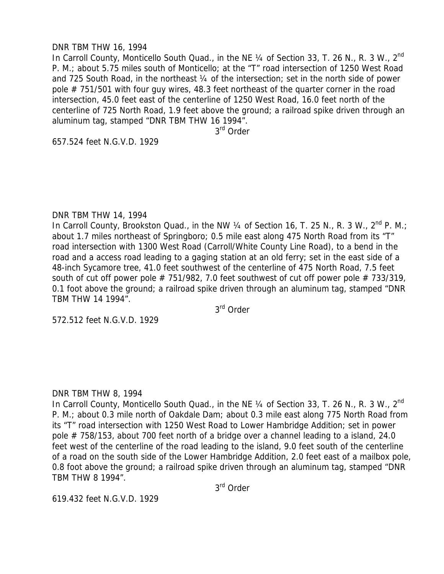#### DNR TBM THW 16, 1994

In Carroll County, Monticello South Quad., in the NE 1/4 of Section 33, T. 26 N., R. 3 W., 2<sup>nd</sup> P. M.; about 5.75 miles south of Monticello; at the "T" road intersection of 1250 West Road and 725 South Road, in the northeast ¼ of the intersection; set in the north side of power pole # 751/501 with four guy wires, 48.3 feet northeast of the quarter corner in the road intersection, 45.0 feet east of the centerline of 1250 West Road, 16.0 feet north of the centerline of 725 North Road, 1.9 feet above the ground; a railroad spike driven through an aluminum tag, stamped "DNR TBM THW 16 1994".

3rd Order

657.524 feet N.G.V.D. 1929

#### DNR TBM THW 14, 1994

In Carroll County, Brookston Quad., in the NW 1/4 of Section 16, T. 25 N., R. 3 W., 2<sup>nd</sup> P. M.; about 1.7 miles northeast of Springboro; 0.5 mile east along 475 North Road from its "T" road intersection with 1300 West Road (Carroll/White County Line Road), to a bend in the road and a access road leading to a gaging station at an old ferry; set in the east side of a 48-inch Sycamore tree, 41.0 feet southwest of the centerline of 475 North Road, 7.5 feet south of cut off power pole  $# 751/982$ , 7.0 feet southwest of cut off power pole  $# 733/319$ , 0.1 foot above the ground; a railroad spike driven through an aluminum tag, stamped "DNR TBM THW 14 1994".

3rd Order

572.512 feet N.G.V.D. 1929

#### DNR TBM THW 8, 1994

In Carroll County, Monticello South Quad., in the NE 1/4 of Section 33, T. 26 N., R. 3 W., 2<sup>nd</sup> P. M.; about 0.3 mile north of Oakdale Dam; about 0.3 mile east along 775 North Road from its "T" road intersection with 1250 West Road to Lower Hambridge Addition; set in power pole # 758/153, about 700 feet north of a bridge over a channel leading to a island, 24.0 feet west of the centerline of the road leading to the island, 9.0 feet south of the centerline of a road on the south side of the Lower Hambridge Addition, 2.0 feet east of a mailbox pole, 0.8 foot above the ground; a railroad spike driven through an aluminum tag, stamped "DNR TBM THW 8 1994".

3rd Order

619.432 feet N.G.V.D. 1929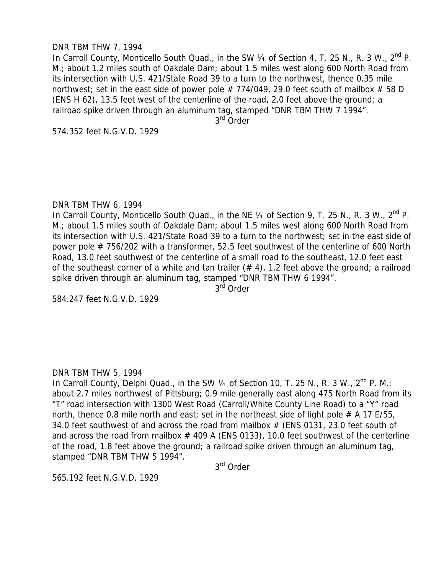#### DNR TBM THW 7, 1994

In Carroll County, Monticello South Quad., in the SW  $\frac{1}{4}$  of Section 4, T. 25 N., R. 3 W., 2<sup>nd</sup> P. M.; about 1.2 miles south of Oakdale Dam; about 1.5 miles west along 600 North Road from its intersection with U.S. 421/State Road 39 to a turn to the northwest, thence 0.35 mile northwest; set in the east side of power pole  $# 774/049$ , 29.0 feet south of mailbox  $# 58$  D (ENS H 62), 13.5 feet west of the centerline of the road, 2.0 feet above the ground; a railroad spike driven through an aluminum tag, stamped "DNR TBM THW 7 1994".

3<sup>rd</sup> Order

574.352 feet N.G.V.D. 1929

#### DNR TBM THW 6, 1994

In Carroll County, Monticello South Quad., in the NE  $\frac{1}{4}$  of Section 9, T. 25 N., R. 3 W.,  $2^{nd}$  P. M.; about 1.5 miles south of Oakdale Dam; about 1.5 miles west along 600 North Road from its intersection with U.S. 421/State Road 39 to a turn to the northwest; set in the east side of power pole # 756/202 with a transformer, 52.5 feet southwest of the centerline of 600 North Road, 13.0 feet southwest of the centerline of a small road to the southeast, 12.0 feet east of the southeast corner of a white and tan trailer  $(# 4)$ , 1.2 feet above the ground; a railroad spike driven through an aluminum tag, stamped "DNR TBM THW 6 1994".

3<sup>rd</sup> Order

584.247 feet N.G.V.D. 1929

## DNR TBM THW 5, 1994

In Carroll County, Delphi Quad., in the SW  $\frac{1}{4}$  of Section 10, T. 25 N., R. 3 W., 2<sup>nd</sup> P. M.; about 2.7 miles northwest of Pittsburg; 0.9 mile generally east along 475 North Road from its "T" road intersection with 1300 West Road (Carroll/White County Line Road) to a "Y" road north, thence 0.8 mile north and east; set in the northeast side of light pole  $# A$  17 E/55, 34.0 feet southwest of and across the road from mailbox  $#$  (ENS 0131, 23.0 feet south of and across the road from mailbox  $#$  409 A (ENS 0133), 10.0 feet southwest of the centerline of the road, 1.8 feet above the ground; a railroad spike driven through an aluminum tag, stamped "DNR TBM THW 5 1994".

3rd Order

565.192 feet N.G.V.D. 1929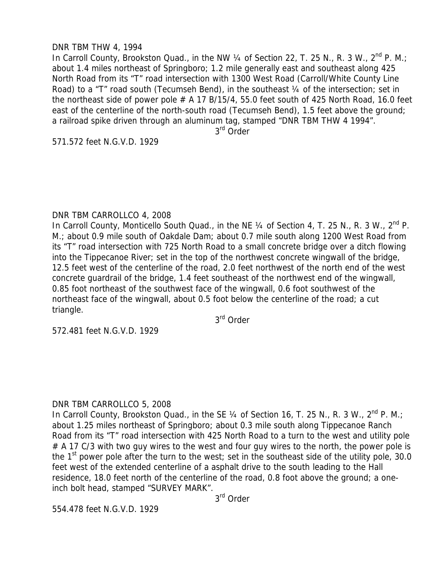## DNR TBM THW 4, 1994

In Carroll County, Brookston Quad., in the NW  $\frac{1}{4}$  of Section 22, T. 25 N., R. 3 W., 2<sup>nd</sup> P. M.; about 1.4 miles northeast of Springboro; 1.2 mile generally east and southeast along 425 North Road from its "T" road intersection with 1300 West Road (Carroll/White County Line Road) to a "T" road south (Tecumseh Bend), in the southeast 1/4 of the intersection; set in the northeast side of power pole  $# A 17 B/15/4$ , 55.0 feet south of 425 North Road, 16.0 feet east of the centerline of the north-south road (Tecumseh Bend), 1.5 feet above the ground; a railroad spike driven through an aluminum tag, stamped "DNR TBM THW 4 1994".

3<sup>rd</sup> Order

571.572 feet N.G.V.D. 1929

#### DNR TBM CARROLLCO 4, 2008

In Carroll County, Monticello South Quad., in the NE  $\frac{1}{4}$  of Section 4, T. 25 N., R. 3 W., 2<sup>nd</sup> P. M.; about 0.9 mile south of Oakdale Dam; about 0.7 mile south along 1200 West Road from its "T" road intersection with 725 North Road to a small concrete bridge over a ditch flowing into the Tippecanoe River; set in the top of the northwest concrete wingwall of the bridge, 12.5 feet west of the centerline of the road, 2.0 feet northwest of the north end of the west concrete guardrail of the bridge, 1.4 feet southeast of the northwest end of the wingwall, 0.85 foot northeast of the southwest face of the wingwall, 0.6 foot southwest of the northeast face of the wingwall, about 0.5 foot below the centerline of the road; a cut triangle.

3rd Order

572.481 feet N.G.V.D. 1929

#### DNR TBM CARROLLCO 5, 2008

In Carroll County, Brookston Quad., in the SE  $\frac{1}{4}$  of Section 16, T. 25 N., R. 3 W.,  $2^{nd}$  P. M.; about 1.25 miles northeast of Springboro; about 0.3 mile south along Tippecanoe Ranch Road from its "T" road intersection with 425 North Road to a turn to the west and utility pole  $# A$  17 C/3 with two guy wires to the west and four guy wires to the north, the power pole is the  $1<sup>st</sup>$  power pole after the turn to the west; set in the southeast side of the utility pole, 30.0 feet west of the extended centerline of a asphalt drive to the south leading to the Hall residence, 18.0 feet north of the centerline of the road, 0.8 foot above the ground; a oneinch bolt head, stamped "SURVEY MARK".

3rd Order

554.478 feet N.G.V.D. 1929